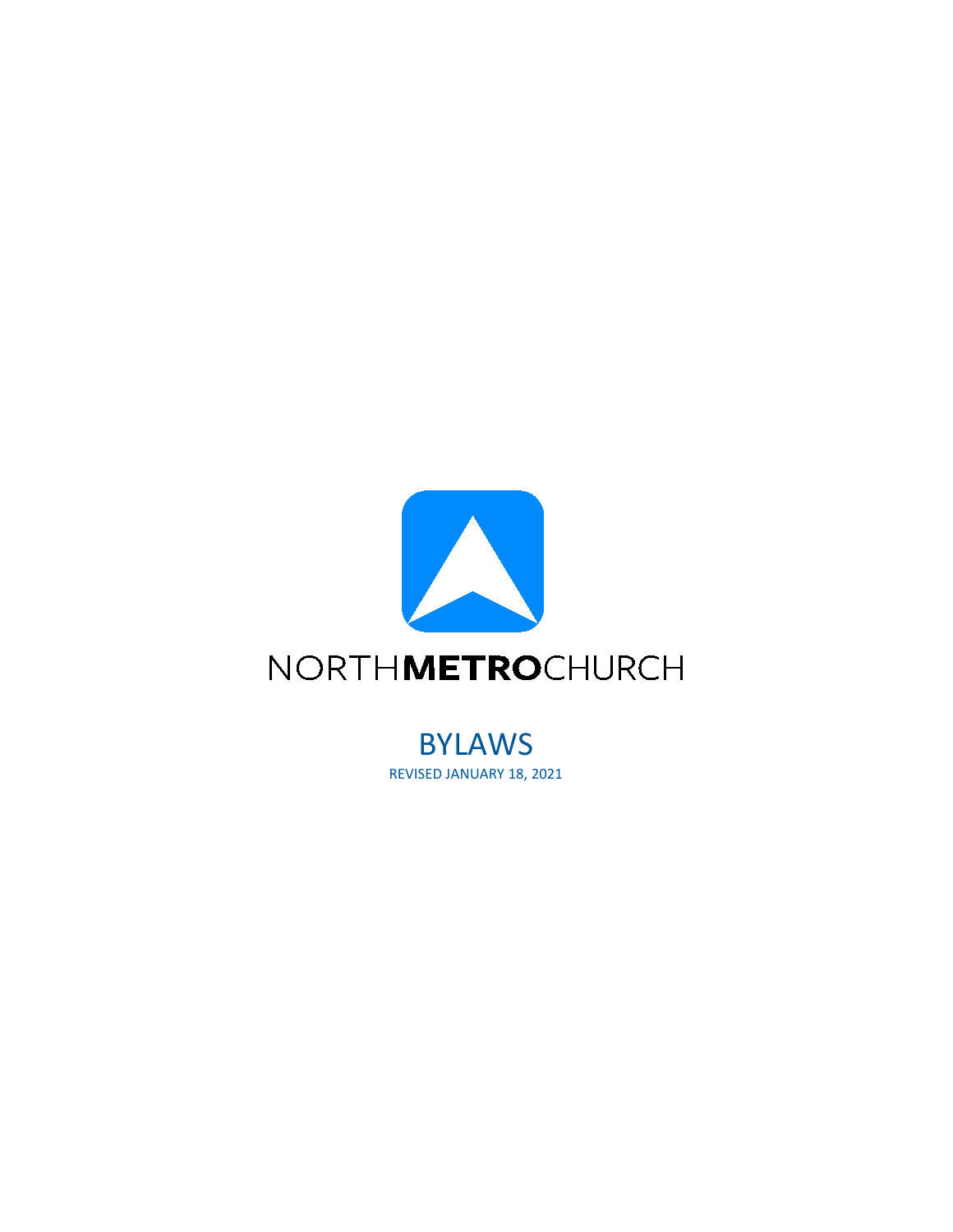

BYLAWS REVISED JANUARY 18, 2021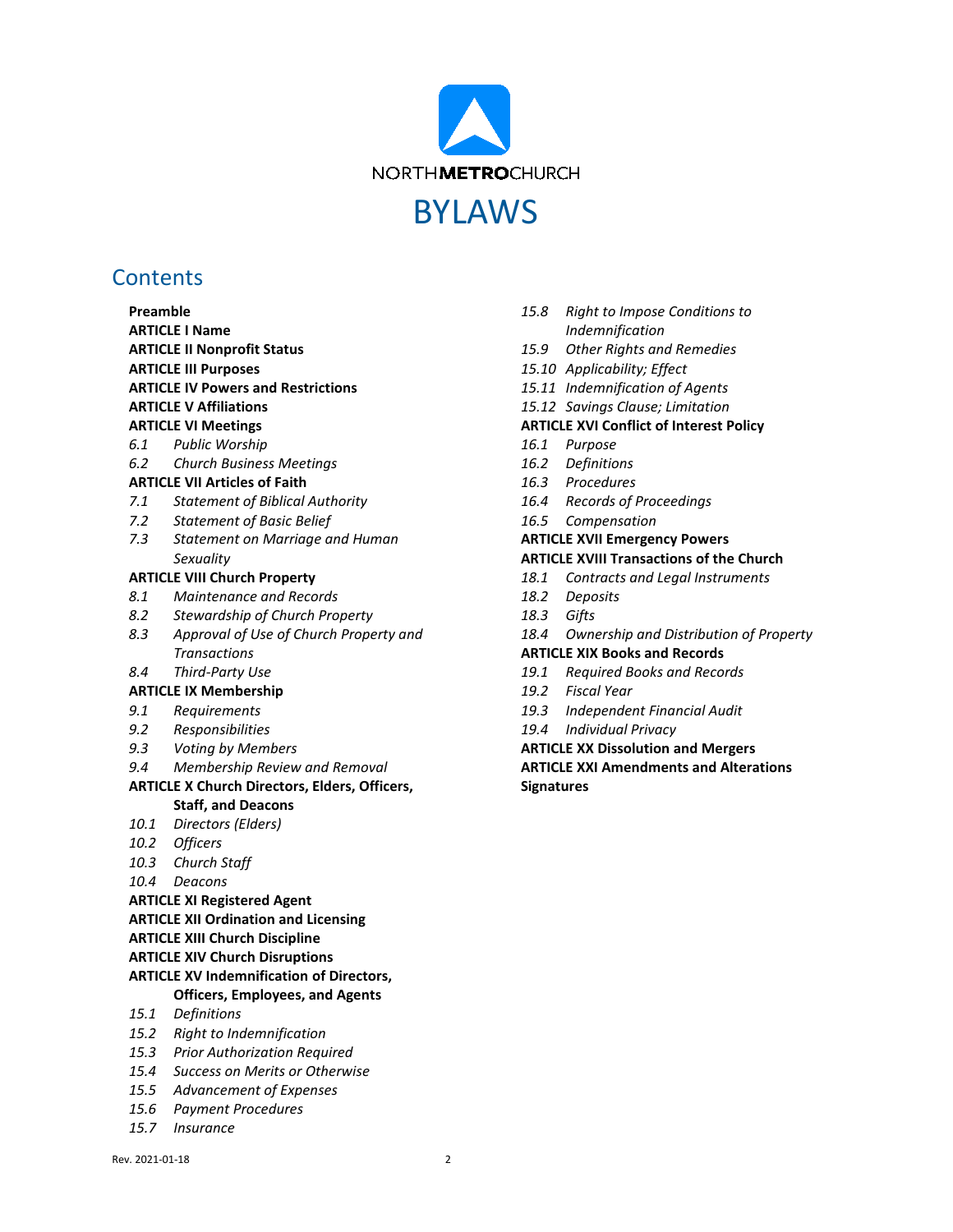

## **Contents**

| Preamble                                             |                                            |
|------------------------------------------------------|--------------------------------------------|
| <b>ARTICLE I Name</b>                                |                                            |
| <b>ARTICLE II Nonprofit Status</b>                   |                                            |
|                                                      | <b>ARTICLE III Purposes</b>                |
| <b>ARTICLE IV Powers and Restrictions</b>            |                                            |
| <b>ARTICLE V Affiliations</b>                        |                                            |
|                                                      | <b>ARTICLE VI Meetings</b>                 |
|                                                      | 6.1 Public Worship                         |
|                                                      | 6.2 Church Business Meetings               |
| <b>ARTICLE VII Articles of Faith</b>                 |                                            |
| 7.1                                                  | <b>Statement of Biblical Authority</b>     |
|                                                      | 7.2 Statement of Basic Belief              |
| 7.3                                                  | Statement on Marriage and Human            |
|                                                      | Sexuality                                  |
|                                                      | <b>ARTICLE VIII Church Property</b>        |
| 8.1                                                  | Maintenance and Records                    |
| 8.2                                                  | Stewardship of Church Property             |
|                                                      | 8.3 Approval of Use of Church Property and |
|                                                      | <b>Transactions</b>                        |
|                                                      | 8.4 Third-Party Use                        |
| <b>ARTICLE IX Membership</b>                         |                                            |
| 9.1                                                  | Requirements                               |
|                                                      | 9.2 Responsibilities                       |
|                                                      | 9.3 Voting by Members                      |
|                                                      | 9.4 Membership Review and Removal          |
| <b>ARTICLE X Church Directors, Elders, Officers,</b> |                                            |
|                                                      | <b>Staff, and Deacons</b>                  |
|                                                      | 10.1 Directors (Elders)                    |
|                                                      | 10.2 Officers                              |
|                                                      | 10.3 Church Staff                          |
|                                                      | 10.4 Deacons                               |
|                                                      | <b>ARTICLE XI Registered Agent</b>         |
| <b>ARTICLE XII Ordination and Licensing</b>          |                                            |
| <b>ARTICLE XIII Church Discipline</b>                |                                            |
|                                                      | <b>ARTICLE XIV Church Disruptions</b>      |
| <b>ARTICLE XV Indemnification of Directors,</b>      |                                            |
|                                                      | <b>Officers, Employees, and Agents</b>     |
| 15.1                                                 | Definitions                                |
| 15.2                                                 | Right to Indemnification                   |
| 15.3                                                 | <b>Prior Authorization Required</b>        |
| 15.4                                                 | Success on Merits or Otherwise             |
| 15.5                                                 | <b>Advancement of Expenses</b>             |
| 15.6                                                 | <b>Payment Procedures</b>                  |
| 15.7                                                 | Insurance                                  |
|                                                      |                                            |

- *15.8 [Right to Impose Conditions to](#page-16-3)  [Indemnification](#page-16-3)*
- *15.9 [Other Rights and Remedies](#page-17-0)*
- *15.10 [Applicability; Effect](#page-17-1)*
- *15.11 [Indemnification of Agents](#page-17-2)*
- *15.12 [Savings Clause; Limitation](#page-17-3)*

#### **ARTICLE XVI [Conflict of Interest Policy](#page-17-4)**

- *16.1 [Purpose](#page-17-5)*
- *16.2 [Definitions](#page-18-0)*
- *16.3 [Procedures](#page-18-1)*
- *16.4 [Records of Proceedings](#page-19-0)*
- *16.5 [Compensation](#page-19-1)*

#### **ARTICLE XVII [Emergency Powers](#page-19-2)**

#### **ARTICLE XVIII [Transactions of the Church](#page-19-3)**

- *18.1 [Contracts and Legal Instruments](#page-19-4)*
- *18.2 [Deposits](#page-19-5)*
- *18.3 [Gifts](#page-20-0)*
- *18.4 [Ownership and Distribution of Property](#page-20-1)*

#### **ARTICLE XIX [Books and Records](#page-20-2)**

- *19.1 [Required Books and Records](#page-20-3)*
- *19.2 [Fiscal Year](#page-20-4)*
- *19.3 [Independent Financial Audit](#page-20-5)*
- *19.4 [Individual Privacy](#page-20-6)*

**ARTICLE XX [Dissolution and Mergers](#page-20-7) ARTICLE XXI [Amendments and Alterations](#page-21-0) [Signatures](#page-21-1)**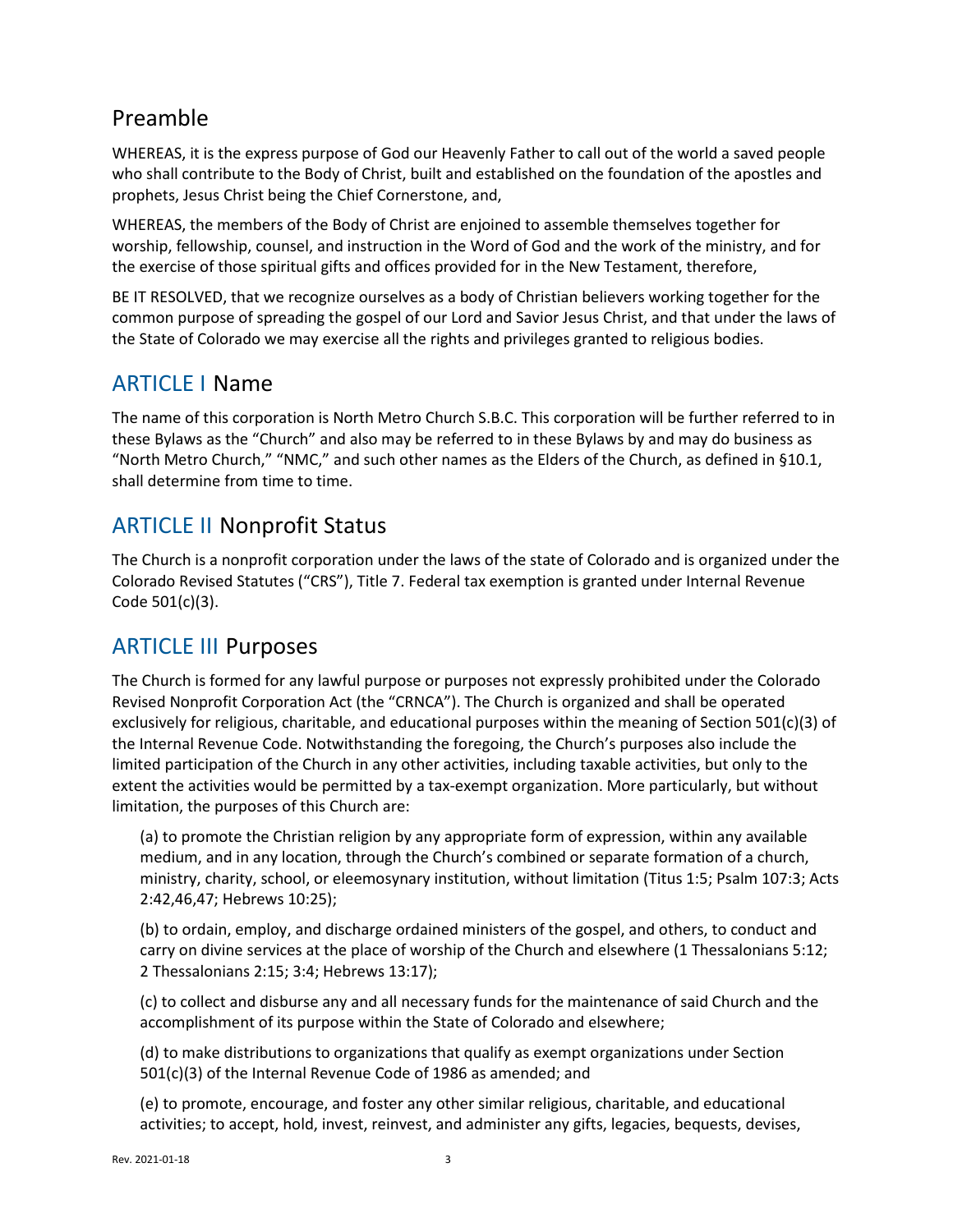# <span id="page-2-0"></span>Preamble

WHEREAS, it is the express purpose of God our Heavenly Father to call out of the world a saved people who shall contribute to the Body of Christ, built and established on the foundation of the apostles and prophets, Jesus Christ being the Chief Cornerstone, and,

WHEREAS, the members of the Body of Christ are enjoined to assemble themselves together for worship, fellowship, counsel, and instruction in the Word of God and the work of the ministry, and for the exercise of those spiritual gifts and offices provided for in the New Testament, therefore,

BE IT RESOLVED, that we recognize ourselves as a body of Christian believers working together for the common purpose of spreading the gospel of our Lord and Savior Jesus Christ, and that under the laws of the State of Colorado we may exercise all the rights and privileges granted to religious bodies.

## <span id="page-2-1"></span>ARTICLE I Name

The name of this corporation is North Metro Church S.B.C. This corporation will be further referred to in these Bylaws as the "Church" and also may be referred to in these Bylaws by and may do business as "North Metro Church," "NMC," and such other names as the Elders of the Church, as defined in [§10.1,](#page-8-2) shall determine from time to time.

# <span id="page-2-2"></span>ARTICLE II Nonprofit Status

The Church is a nonprofit corporation under the laws of the state of Colorado and is organized under the Colorado Revised Statutes ("CRS"), Title 7. Federal tax exemption is granted under Internal Revenue Code 501(c)(3).

# <span id="page-2-3"></span>ARTICLE III Purposes

The Church is formed for any lawful purpose or purposes not expressly prohibited under the Colorado Revised Nonprofit Corporation Act (the "CRNCA"). The Church is organized and shall be operated exclusively for religious, charitable, and educational purposes within the meaning of Section 501(c)(3) of the Internal Revenue Code. Notwithstanding the foregoing, the Church's purposes also include the limited participation of the Church in any other activities, including taxable activities, but only to the extent the activities would be permitted by a tax-exempt organization. More particularly, but without limitation, the purposes of this Church are:

(a) to promote the Christian religion by any appropriate form of expression, within any available medium, and in any location, through the Church's combined or separate formation of a church, ministry, charity, school, or eleemosynary institution, without limitation (Titus 1:5; Psalm 107:3; Acts 2:42,46,47; Hebrews 10:25);

(b) to ordain, employ, and discharge ordained ministers of the gospel, and others, to conduct and carry on divine services at the place of worship of the Church and elsewhere (1 Thessalonians 5:12; 2 Thessalonians 2:15; 3:4; Hebrews 13:17);

(c) to collect and disburse any and all necessary funds for the maintenance of said Church and the accomplishment of its purpose within the State of Colorado and elsewhere;

(d) to make distributions to organizations that qualify as exempt organizations under Section 501(c)(3) of the Internal Revenue Code of 1986 as amended; and

(e) to promote, encourage, and foster any other similar religious, charitable, and educational activities; to accept, hold, invest, reinvest, and administer any gifts, legacies, bequests, devises,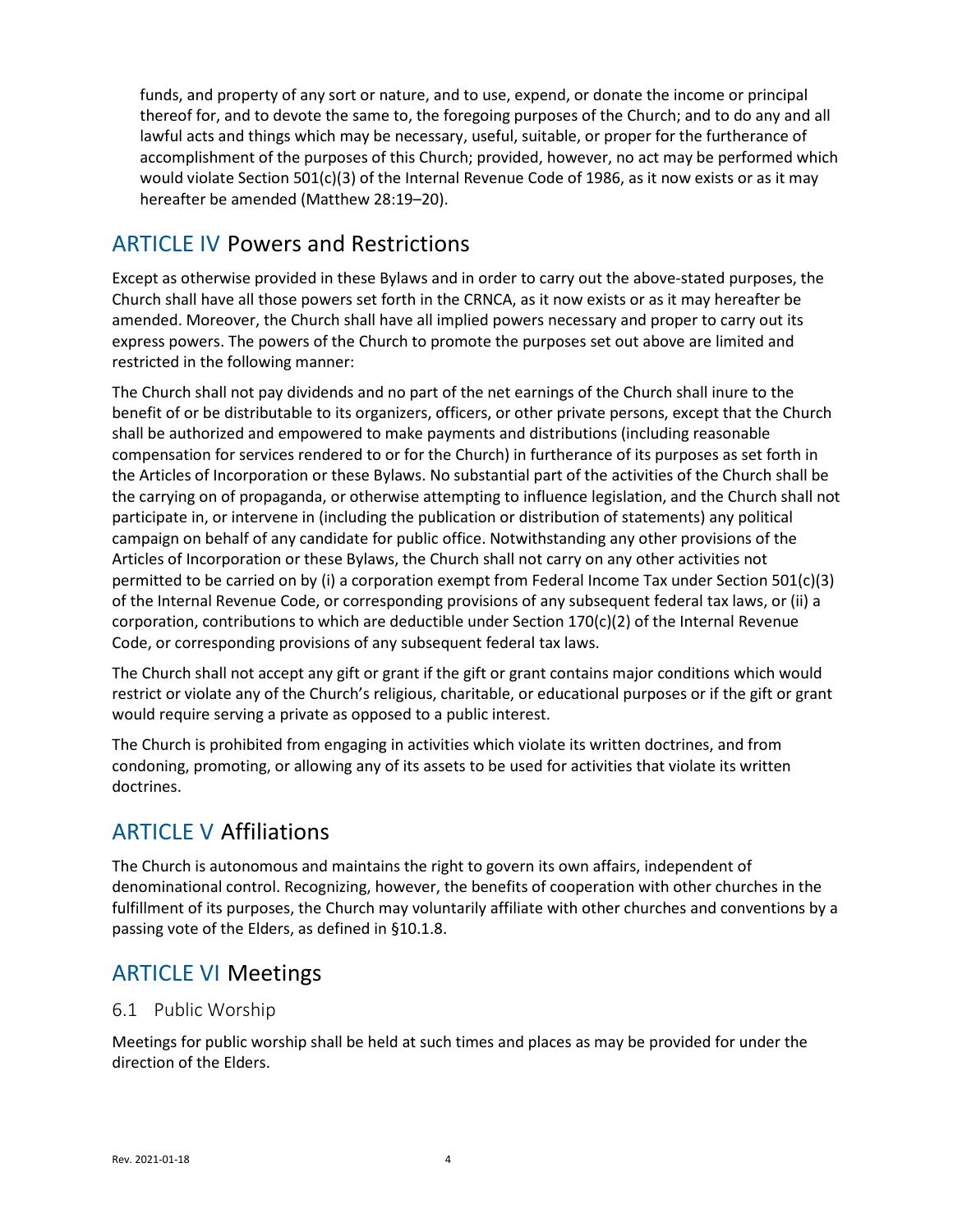funds, and property of any sort or nature, and to use, expend, or donate the income or principal thereof for, and to devote the same to, the foregoing purposes of the Church; and to do any and all lawful acts and things which may be necessary, useful, suitable, or proper for the furtherance of accomplishment of the purposes of this Church; provided, however, no act may be performed which would violate Section 501(c)(3) of the Internal Revenue Code of 1986, as it now exists or as it may hereafter be amended (Matthew 28:19–20).

# <span id="page-3-0"></span>ARTICLE IV Powers and Restrictions

Except as otherwise provided in these Bylaws and in order to carry out the above-stated purposes, the Church shall have all those powers set forth in the CRNCA, as it now exists or as it may hereafter be amended. Moreover, the Church shall have all implied powers necessary and proper to carry out its express powers. The powers of the Church to promote the purposes set out above are limited and restricted in the following manner:

The Church shall not pay dividends and no part of the net earnings of the Church shall inure to the benefit of or be distributable to its organizers, officers, or other private persons, except that the Church shall be authorized and empowered to make payments and distributions (including reasonable compensation for services rendered to or for the Church) in furtherance of its purposes as set forth in the Articles of Incorporation or these Bylaws. No substantial part of the activities of the Church shall be the carrying on of propaganda, or otherwise attempting to influence legislation, and the Church shall not participate in, or intervene in (including the publication or distribution of statements) any political campaign on behalf of any candidate for public office. Notwithstanding any other provisions of the Articles of Incorporation or these Bylaws, the Church shall not carry on any other activities not permitted to be carried on by (i) a corporation exempt from Federal Income Tax under Section 501(c)(3) of the Internal Revenue Code, or corresponding provisions of any subsequent federal tax laws, or (ii) a corporation, contributions to which are deductible under Section  $170(c)(2)$  of the Internal Revenue Code, or corresponding provisions of any subsequent federal tax laws.

The Church shall not accept any gift or grant if the gift or grant contains major conditions which would restrict or violate any of the Church's religious, charitable, or educational purposes or if the gift or grant would require serving a private as opposed to a public interest.

The Church is prohibited from engaging in activities which violate its written doctrines, and from condoning, promoting, or allowing any of its assets to be used for activities that violate its written doctrines.

# <span id="page-3-1"></span>ARTICLE V Affiliations

The Church is autonomous and maintains the right to govern its own affairs, independent of denominational control. Recognizing, however, the benefits of cooperation with other churches in the fulfillment of its purposes, the Church may voluntarily affiliate with other churches and conventions by a passing vote of the Elders, as defined in [§10.1.8.](#page-10-1)

# <span id="page-3-2"></span>ARTICLE VI Meetings

## <span id="page-3-3"></span>6.1 Public Worship

Meetings for public worship shall be held at such times and places as may be provided for under the direction of the Elders.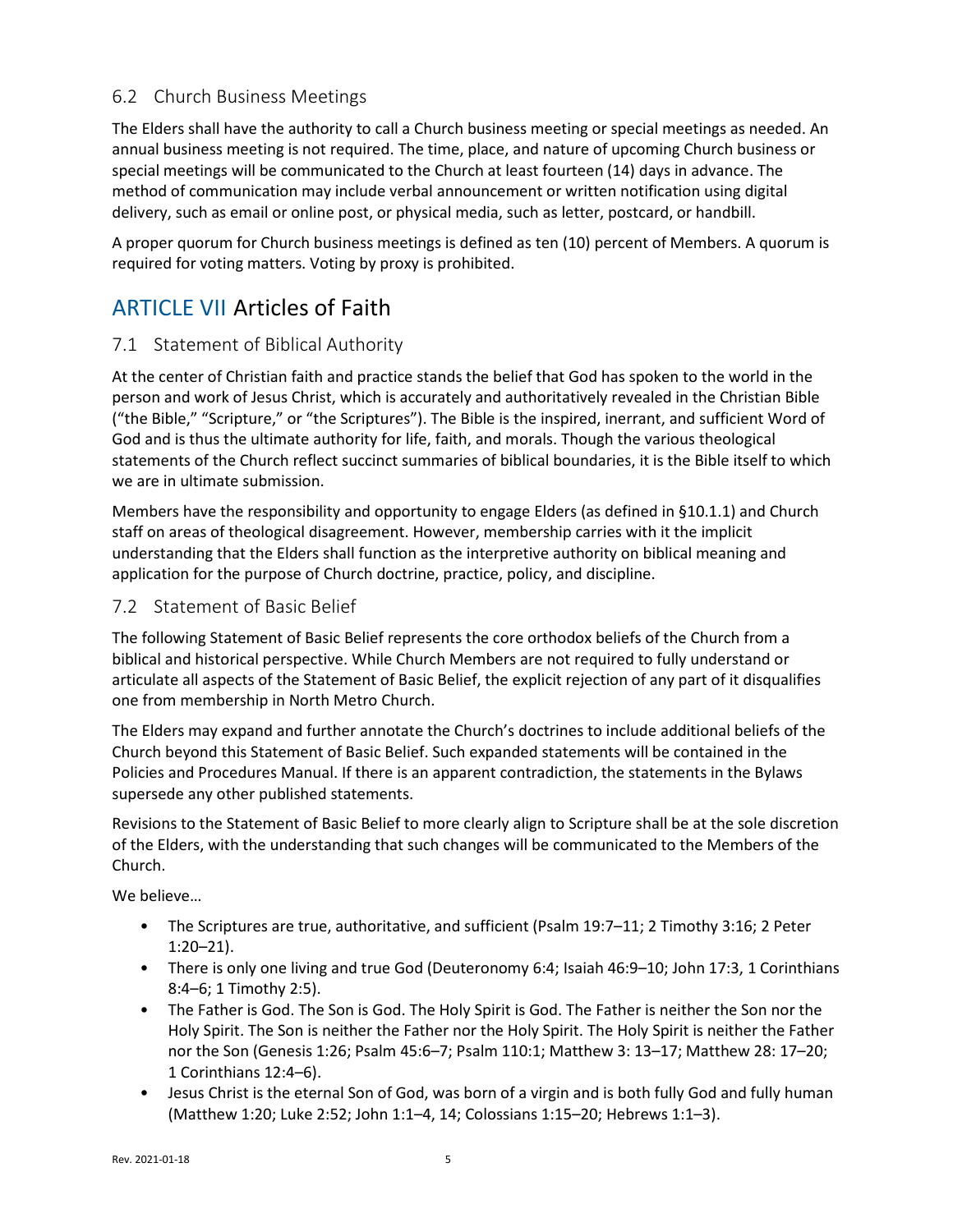## <span id="page-4-0"></span>6.2 Church Business Meetings

The Elders shall have the authority to call a Church business meeting or special meetings as needed. An annual business meeting is not required. The time, place, and nature of upcoming Church business or special meetings will be communicated to the Church at least fourteen (14) days in advance. The method of communication may include verbal announcement or written notification using digital delivery, such as email or online post, or physical media, such as letter, postcard, or handbill.

A proper quorum for Church business meetings is defined as ten (10) percent of Members. A quorum is required for voting matters. Voting by proxy is prohibited.

# <span id="page-4-1"></span>ARTICLE VII Articles of Faith

## <span id="page-4-2"></span>7.1 Statement of Biblical Authority

At the center of Christian faith and practice stands the belief that God has spoken to the world in the person and work of Jesus Christ, which is accurately and authoritatively revealed in the Christian Bible ("the Bible," "Scripture," or "the Scriptures"). The Bible is the inspired, inerrant, and sufficient Word of God and is thus the ultimate authority for life, faith, and morals. Though the various theological statements of the Church reflect succinct summaries of biblical boundaries, it is the Bible itself to which we are in ultimate submission.

Members have the responsibility and opportunity to engage Elders (as defined in [§10.1.1\)](#page-8-3) and Church staff on areas of theological disagreement. However, membership carries with it the implicit understanding that the Elders shall function as the interpretive authority on biblical meaning and application for the purpose of Church doctrine, practice, policy, and discipline.

#### <span id="page-4-3"></span>7.2 Statement of Basic Belief

The following Statement of Basic Belief represents the core orthodox beliefs of the Church from a biblical and historical perspective. While Church Members are not required to fully understand or articulate all aspects of the Statement of Basic Belief, the explicit rejection of any part of it disqualifies one from membership in North Metro Church.

The Elders may expand and further annotate the Church's doctrines to include additional beliefs of the Church beyond this Statement of Basic Belief. Such expanded statements will be contained in the Policies and Procedures Manual. If there is an apparent contradiction, the statements in the Bylaws supersede any other published statements.

Revisions to the Statement of Basic Belief to more clearly align to Scripture shall be at the sole discretion of the Elders, with the understanding that such changes will be communicated to the Members of the Church.

We believe…

- The Scriptures are true, authoritative, and sufficient (Psalm 19:7–11; 2 Timothy 3:16; 2 Peter 1:20–21).
- There is only one living and true God (Deuteronomy 6:4; Isaiah 46:9-10; John 17:3, 1 Corinthians 8:4–6; 1 Timothy 2:5).
- The Father is God. The Son is God. The Holy Spirit is God. The Father is neither the Son nor the Holy Spirit. The Son is neither the Father nor the Holy Spirit. The Holy Spirit is neither the Father nor the Son (Genesis 1:26; Psalm 45:6–7; Psalm 110:1; Matthew 3: 13–17; Matthew 28: 17–20; 1 Corinthians 12:4–6).
- Jesus Christ is the eternal Son of God, was born of a virgin and is both fully God and fully human (Matthew 1:20; Luke 2:52; John 1:1–4, 14; Colossians 1:15–20; Hebrews 1:1–3).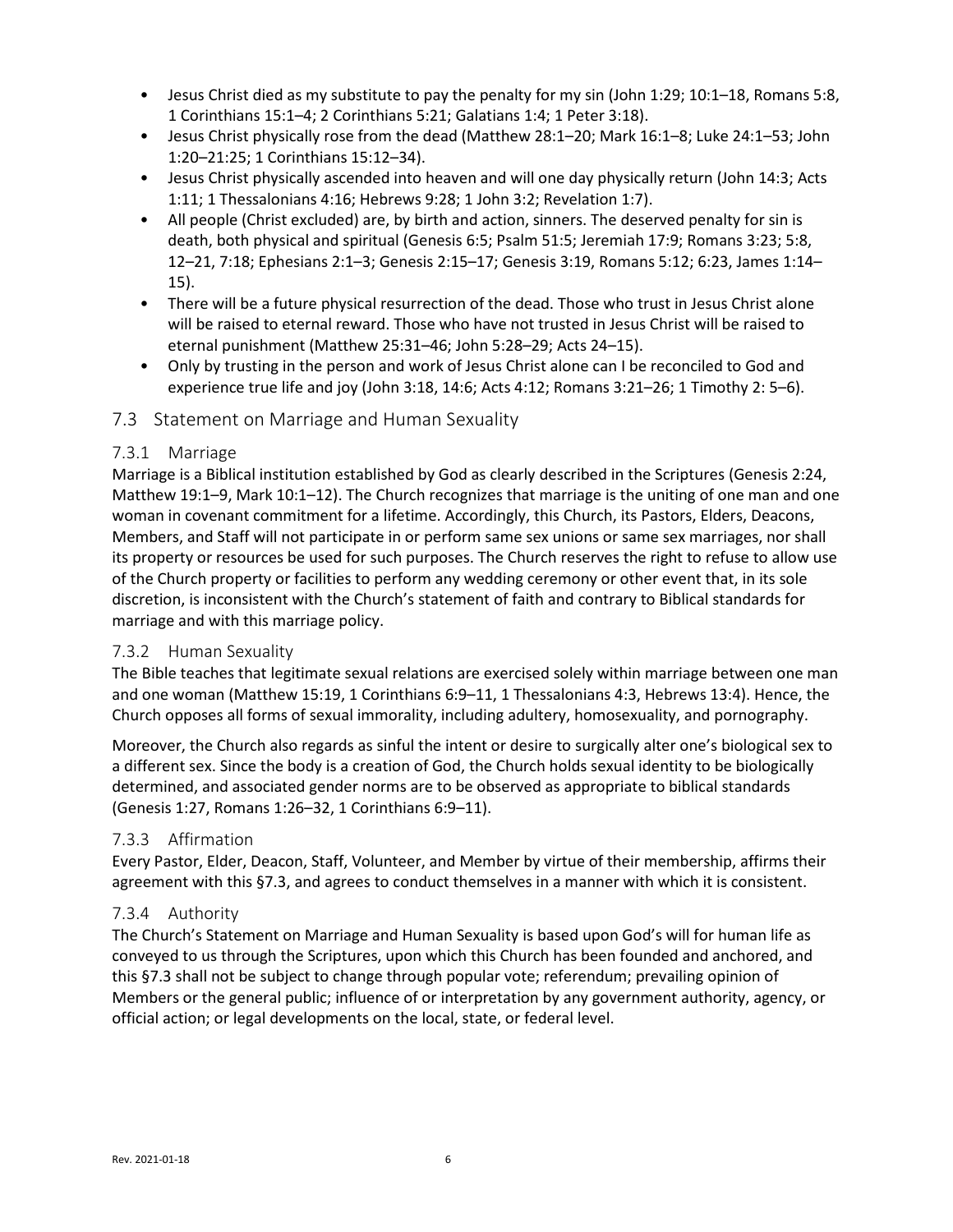- Jesus Christ died as my substitute to pay the penalty for my sin (John 1:29; 10:1–18, Romans 5:8, 1 Corinthians 15:1–4; 2 Corinthians 5:21; Galatians 1:4; 1 Peter 3:18).
- Jesus Christ physically rose from the dead (Matthew 28:1–20; Mark 16:1–8; Luke 24:1–53; John 1:20–21:25; 1 Corinthians 15:12–34).
- Jesus Christ physically ascended into heaven and will one day physically return (John 14:3; Acts 1:11; 1 Thessalonians 4:16; Hebrews 9:28; 1 John 3:2; Revelation 1:7).
- All people (Christ excluded) are, by birth and action, sinners. The deserved penalty for sin is death, both physical and spiritual (Genesis 6:5; Psalm 51:5; Jeremiah 17:9; Romans 3:23; 5:8, 12–21, 7:18; Ephesians 2:1–3; Genesis 2:15–17; Genesis 3:19, Romans 5:12; 6:23, James 1:14– 15).
- There will be a future physical resurrection of the dead. Those who trust in Jesus Christ alone will be raised to eternal reward. Those who have not trusted in Jesus Christ will be raised to eternal punishment (Matthew 25:31–46; John 5:28–29; Acts 24–15).
- Only by trusting in the person and work of Jesus Christ alone can I be reconciled to God and experience true life and joy (John 3:18, 14:6; Acts 4:12; Romans 3:21–26; 1 Timothy 2: 5–6).

## <span id="page-5-0"></span>7.3 Statement on Marriage and Human Sexuality

## 7.3.1 Marriage

Marriage is a Biblical institution established by God as clearly described in the Scriptures (Genesis 2:24, Matthew 19:1–9, Mark 10:1–12). The Church recognizes that marriage is the uniting of one man and one woman in covenant commitment for a lifetime. Accordingly, this Church, its Pastors, Elders, Deacons, Members, and Staff will not participate in or perform same sex unions or same sex marriages, nor shall its property or resources be used for such purposes. The Church reserves the right to refuse to allow use of the Church property or facilities to perform any wedding ceremony or other event that, in its sole discretion, is inconsistent with the Church's statement of faith and contrary to Biblical standards for marriage and with this marriage policy.

#### 7.3.2 Human Sexuality

The Bible teaches that legitimate sexual relations are exercised solely within marriage between one man and one woman (Matthew 15:19, 1 Corinthians 6:9–11, 1 Thessalonians 4:3, Hebrews 13:4). Hence, the Church opposes all forms of sexual immorality, including adultery, homosexuality, and pornography.

Moreover, the Church also regards as sinful the intent or desire to surgically alter one's biological sex to a different sex. Since the body is a creation of God, the Church holds sexual identity to be biologically determined, and associated gender norms are to be observed as appropriate to biblical standards (Genesis 1:27, Romans 1:26–32, 1 Corinthians 6:9–11).

## 7.3.3 Affirmation

Every Pastor, Elder, Deacon, Staff, Volunteer, and Member by virtue of their membership, affirms their agreement with this [§7.3,](#page-5-0) and agrees to conduct themselves in a manner with which it is consistent.

#### 7.3.4 Authority

The Church's [Statement on Marriage and Human Sexuality](#page-5-0) is based upon God's will for human life as conveyed to us through the Scriptures, upon which this Church has been founded and anchored, and this [§7.3](#page-5-0) shall not be subject to change through popular vote; referendum; prevailing opinion of Members or the general public; influence of or interpretation by any government authority, agency, or official action; or legal developments on the local, state, or federal level.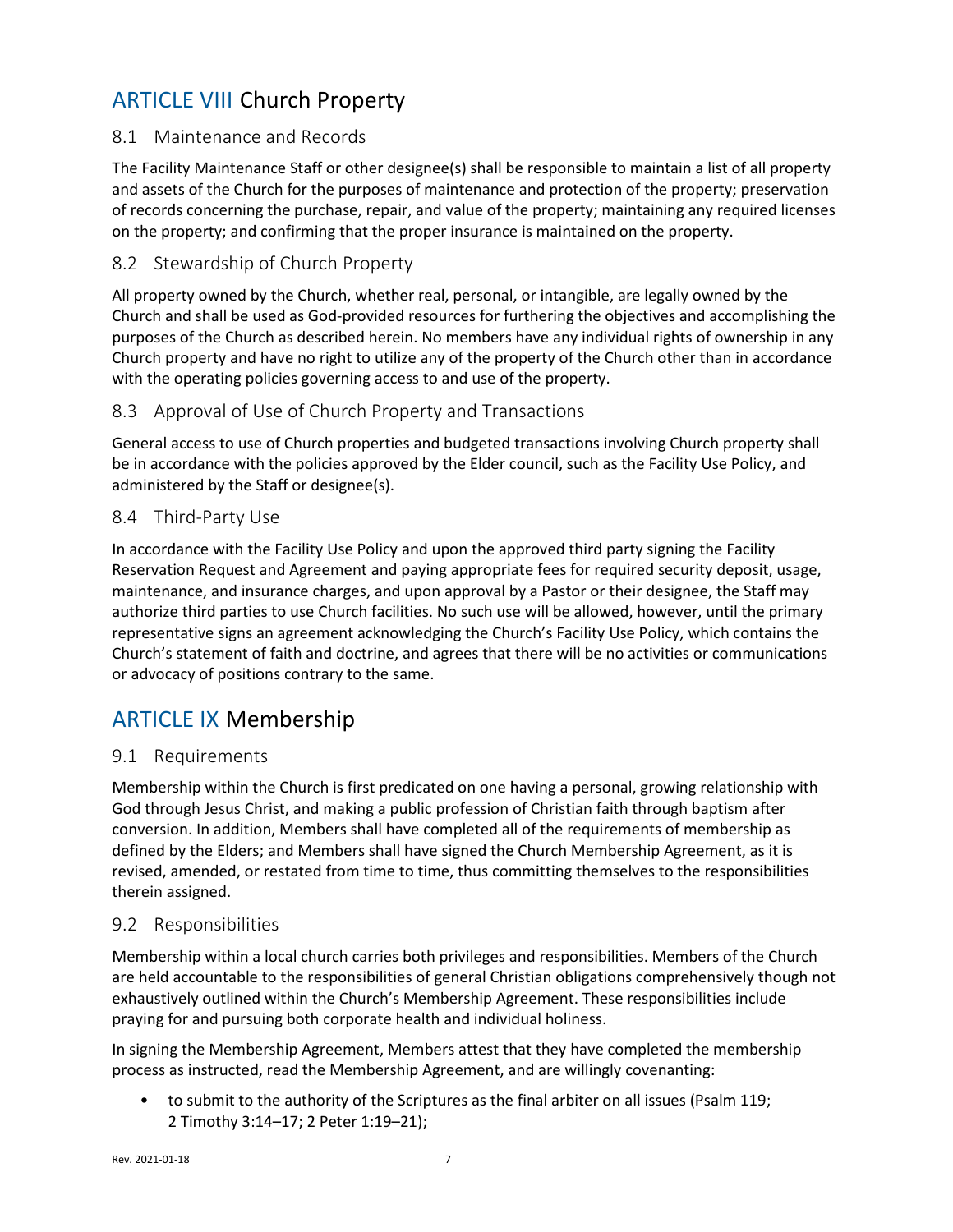# <span id="page-6-0"></span>ARTICLE VIII Church Property

## <span id="page-6-1"></span>8.1 Maintenance and Records

The Facility Maintenance Staff or other designee(s) shall be responsible to maintain a list of all property and assets of the Church for the purposes of maintenance and protection of the property; preservation of records concerning the purchase, repair, and value of the property; maintaining any required licenses on the property; and confirming that the proper insurance is maintained on the property.

## <span id="page-6-2"></span>8.2 Stewardship of Church Property

All property owned by the Church, whether real, personal, or intangible, are legally owned by the Church and shall be used as God-provided resources for furthering the objectives and accomplishing the purposes of the Church as described herein. No members have any individual rights of ownership in any Church property and have no right to utilize any of the property of the Church other than in accordance with the operating policies governing access to and use of the property.

## <span id="page-6-3"></span>8.3 Approval of Use of Church Property and Transactions

General access to use of Church properties and budgeted transactions involving Church property shall be in accordance with the policies approved by the Elder council, such as the Facility Use Policy, and administered by the Staff or designee(s).

## <span id="page-6-4"></span>8.4 Third-Party Use

In accordance with the Facility Use Policy and upon the approved third party signing the Facility Reservation Request and Agreement and paying appropriate fees for required security deposit, usage, maintenance, and insurance charges, and upon approval by a Pastor or their designee, the Staff may authorize third parties to use Church facilities. No such use will be allowed, however, until the primary representative signs an agreement acknowledging the Church's Facility Use Policy, which contains the Church's statement of faith and doctrine, and agrees that there will be no activities or communications or advocacy of positions contrary to the same.

# <span id="page-6-5"></span>ARTICLE IX Membership

## <span id="page-6-6"></span>9.1 Requirements

Membership within the Church is first predicated on one having a personal, growing relationship with God through Jesus Christ, and making a public profession of Christian faith through baptism after conversion. In addition, Members shall have completed all of the requirements of membership as defined by the Elders; and Members shall have signed the Church Membership Agreement, as it is revised, amended, or restated from time to time, thus committing themselves to the responsibilities therein assigned.

## <span id="page-6-7"></span>9.2 Responsibilities

Membership within a local church carries both privileges and responsibilities. Members of the Church are held accountable to the responsibilities of general Christian obligations comprehensively though not exhaustively outlined within the Church's Membership Agreement. These responsibilities include praying for and pursuing both corporate health and individual holiness.

In signing the Membership Agreement, Members attest that they have completed the membership process as instructed, read the Membership Agreement, and are willingly covenanting:

• to submit to the authority of the Scriptures as the final arbiter on all issues (Psalm 119; 2 Timothy 3:14–17; 2 Peter 1:19–21);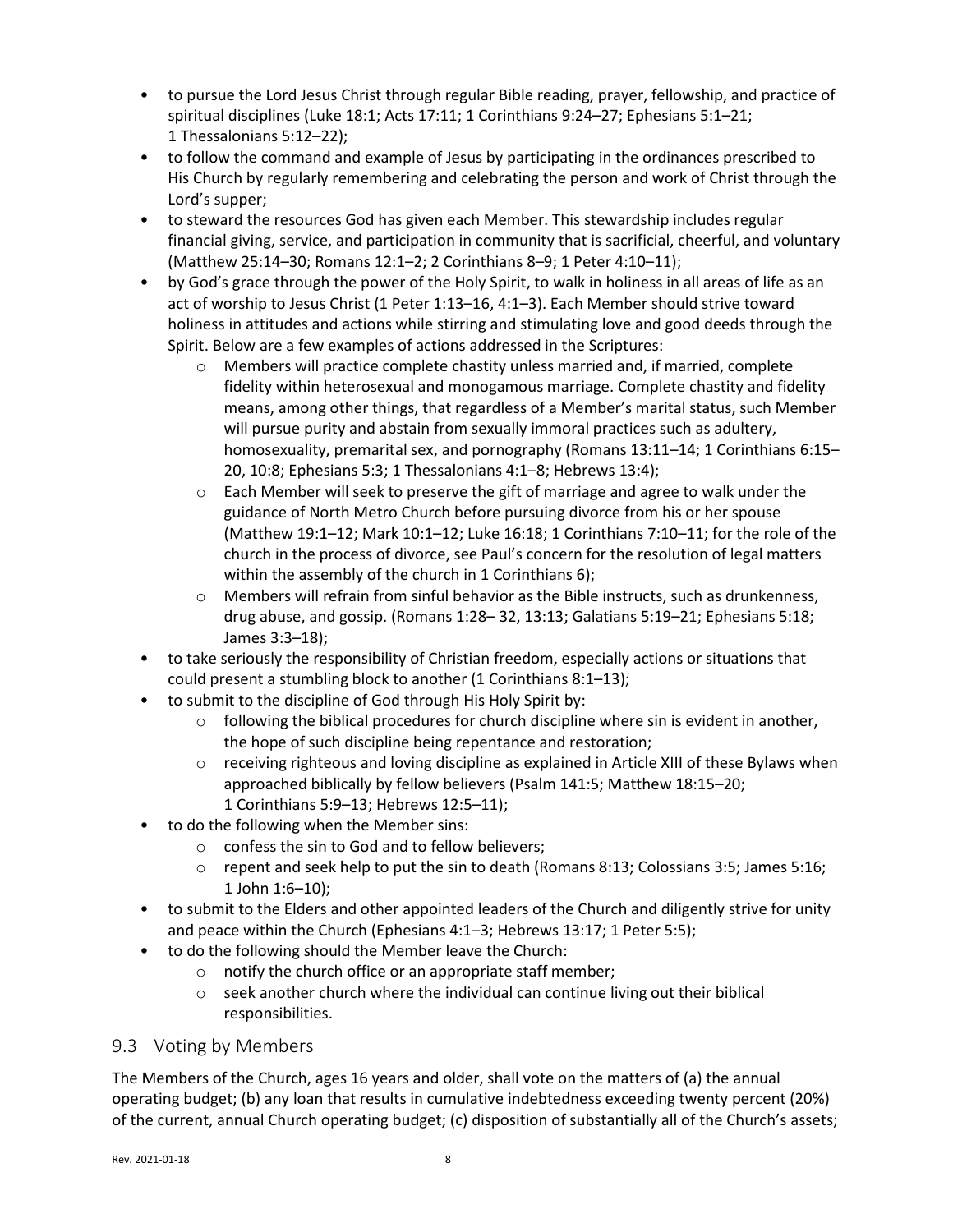- to pursue the Lord Jesus Christ through regular Bible reading, prayer, fellowship, and practice of spiritual disciplines (Luke 18:1; Acts 17:11; 1 Corinthians 9:24–27; Ephesians 5:1–21; 1 Thessalonians 5:12–22);
- to follow the command and example of Jesus by participating in the ordinances prescribed to His Church by regularly remembering and celebrating the person and work of Christ through the Lord's supper;
- to steward the resources God has given each Member. This stewardship includes regular financial giving, service, and participation in community that is sacrificial, cheerful, and voluntary (Matthew 25:14–30; Romans 12:1–2; 2 Corinthians 8–9; 1 Peter 4:10–11);
- by God's grace through the power of the Holy Spirit, to walk in holiness in all areas of life as an act of worship to Jesus Christ (1 Peter 1:13–16, 4:1–3). Each Member should strive toward holiness in attitudes and actions while stirring and stimulating love and good deeds through the Spirit. Below are a few examples of actions addressed in the Scriptures:
	- o Members will practice complete chastity unless married and, if married, complete fidelity within heterosexual and monogamous marriage. Complete chastity and fidelity means, among other things, that regardless of a Member's marital status, such Member will pursue purity and abstain from sexually immoral practices such as adultery, homosexuality, premarital sex, and pornography (Romans 13:11–14; 1 Corinthians 6:15– 20, 10:8; Ephesians 5:3; 1 Thessalonians 4:1–8; Hebrews 13:4);
	- $\circ$  Each Member will seek to preserve the gift of marriage and agree to walk under the guidance of North Metro Church before pursuing divorce from his or her spouse (Matthew 19:1–12; Mark 10:1–12; Luke 16:18; 1 Corinthians 7:10–11; for the role of the church in the process of divorce, see Paul's concern for the resolution of legal matters within the assembly of the church in 1 Corinthians 6);
	- $\circ$  Members will refrain from sinful behavior as the Bible instructs, such as drunkenness, drug abuse, and gossip. (Romans 1:28– 32, 13:13; Galatians 5:19–21; Ephesians 5:18; James 3:3–18);
- to take seriously the responsibility of Christian freedom, especially actions or situations that could present a stumbling block to another (1 Corinthians 8:1–13);
- to submit to the discipline of God through His Holy Spirit by:
	- $\circ$  following the biblical procedures for church discipline where sin is evident in another, the hope of such discipline being repentance and restoration;
	- $\circ$  receiving righteous and loving discipline as explained in [Article XIII](#page-13-0) of these Bylaws when approached biblically by fellow believers (Psalm 141:5; Matthew 18:15–20; 1 Corinthians 5:9–13; Hebrews 12:5–11);
- to do the following when the Member sins:
	- o confess the sin to God and to fellow believers;
	- $\circ$  repent and seek help to put the sin to death (Romans 8:13; Colossians 3:5; James 5:16; 1 John 1:6–10);
- to submit to the Elders and other appointed leaders of the Church and diligently strive for unity and peace within the Church (Ephesians 4:1–3; Hebrews 13:17; 1 Peter 5:5);
- to do the following should the Member leave the Church:
	- o notify the church office or an appropriate staff member;
	- o seek another church where the individual can continue living out their biblical responsibilities.

## <span id="page-7-0"></span>9.3 Voting by Members

The Members of the Church, ages 16 years and older, shall vote on the matters of (a) the annual operating budget; (b) any loan that results in cumulative indebtedness exceeding twenty percent (20%) of the current, annual Church operating budget; (c) disposition of substantially all of the Church's assets;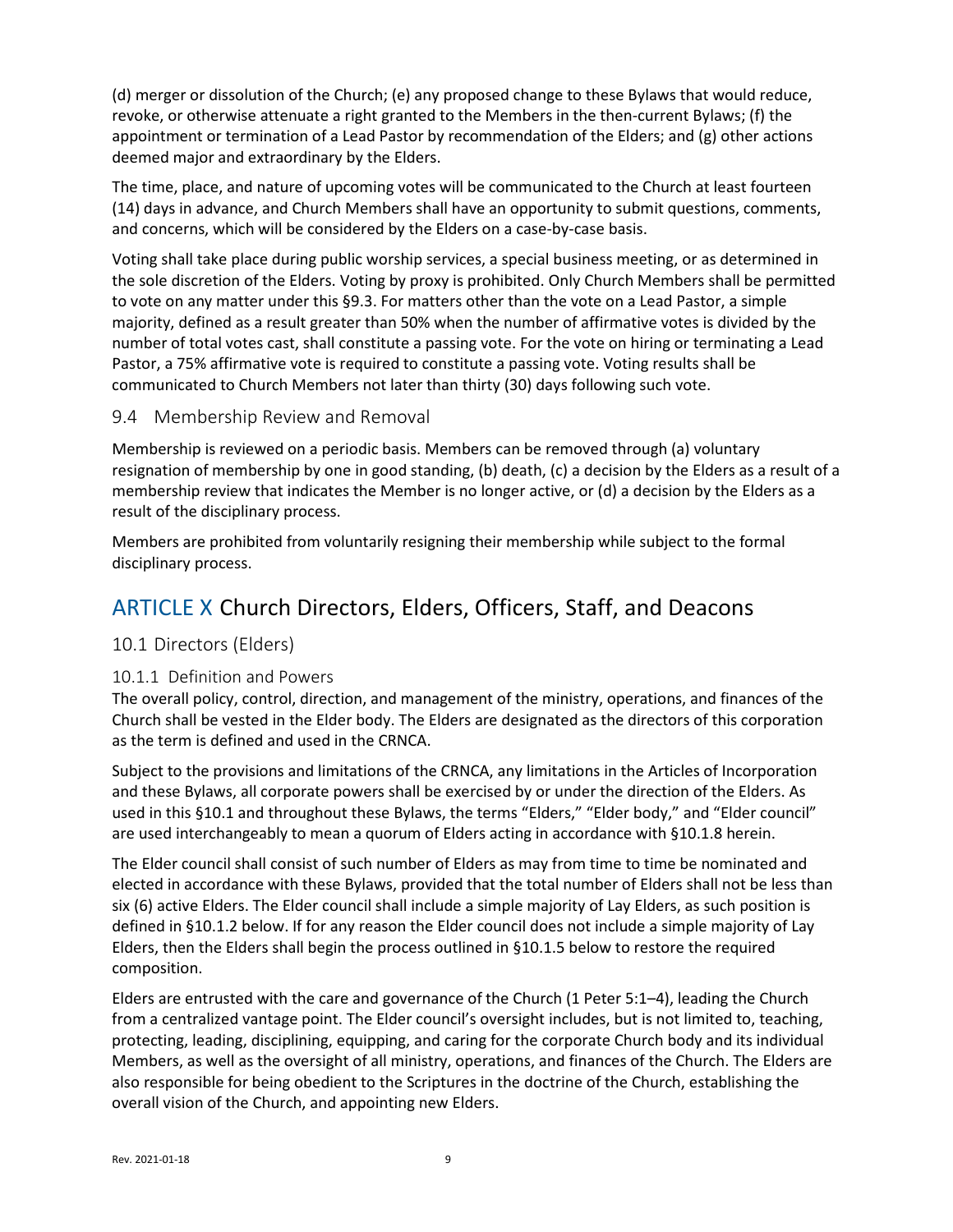(d) merger or dissolution of the Church; (e) any proposed change to these Bylaws that would reduce, revoke, or otherwise attenuate a right granted to the Members in the then-current Bylaws; (f) the appointment or termination of a Lead Pastor by recommendation of the Elders; and (g) other actions deemed major and extraordinary by the Elders.

The time, place, and nature of upcoming votes will be communicated to the Church at least fourteen (14) days in advance, and Church Members shall have an opportunity to submit questions, comments, and concerns, which will be considered by the Elders on a case-by-case basis.

Voting shall take place during public worship services, a special business meeting, or as determined in the sole discretion of the Elders. Voting by proxy is prohibited. Only Church Members shall be permitted to vote on any matter under this [§9.3.](#page-7-0) For matters other than the vote on a Lead Pastor, a simple majority, defined as a result greater than 50% when the number of affirmative votes is divided by the number of total votes cast, shall constitute a passing vote. For the vote on hiring or terminating a Lead Pastor, a 75% affirmative vote is required to constitute a passing vote. Voting results shall be communicated to Church Members not later than thirty (30) days following such vote.

## <span id="page-8-0"></span>9.4 Membership Review and Removal

Membership is reviewed on a periodic basis. Members can be removed through (a) voluntary resignation of membership by one in good standing, (b) death, (c) a decision by the Elders as a result of a membership review that indicates the Member is no longer active, or (d) a decision by the Elders as a result of the disciplinary process.

Members are prohibited from voluntarily resigning their membership while subject to the formal disciplinary process.

# <span id="page-8-1"></span>ARTICLE X Church Directors, Elders, Officers, Staff, and Deacons

## <span id="page-8-2"></span>10.1 Directors (Elders)

#### <span id="page-8-3"></span>10.1.1 Definition and Powers

The overall policy, control, direction, and management of the ministry, operations, and finances of the Church shall be vested in the Elder body. The Elders are designated as the directors of this corporation as the term is defined and used in the CRNCA.

Subject to the provisions and limitations of the CRNCA, any limitations in the Articles of Incorporation and these Bylaws, all corporate powers shall be exercised by or under the direction of the Elders. As used in this [§10.1](#page-8-2) and throughout these Bylaws, the terms "Elders," "Elder body," and "Elder council" are used interchangeably to mean a quorum of Elders acting in accordance with [§10.1.8](#page-10-1) herein.

The Elder council shall consist of such number of Elders as may from time to time be nominated and elected in accordance with these Bylaws, provided that the total number of Elders shall not be less than six (6) active Elders. The Elder council shall include a simple majority of Lay Elders, as such position is defined in [§10.1.2](#page-9-0) below. If for any reason the Elder council does not include a simple majority of Lay Elders, then the Elders shall begin the process outlined in [§10.1.5](#page-9-1) below to restore the required composition.

Elders are entrusted with the care and governance of the Church (1 Peter 5:1–4), leading the Church from a centralized vantage point. The Elder council's oversight includes, but is not limited to, teaching, protecting, leading, disciplining, equipping, and caring for the corporate Church body and its individual Members, as well as the oversight of all ministry, operations, and finances of the Church. The Elders are also responsible for being obedient to the Scriptures in the doctrine of the Church, establishing the overall vision of the Church, and appointing new Elders.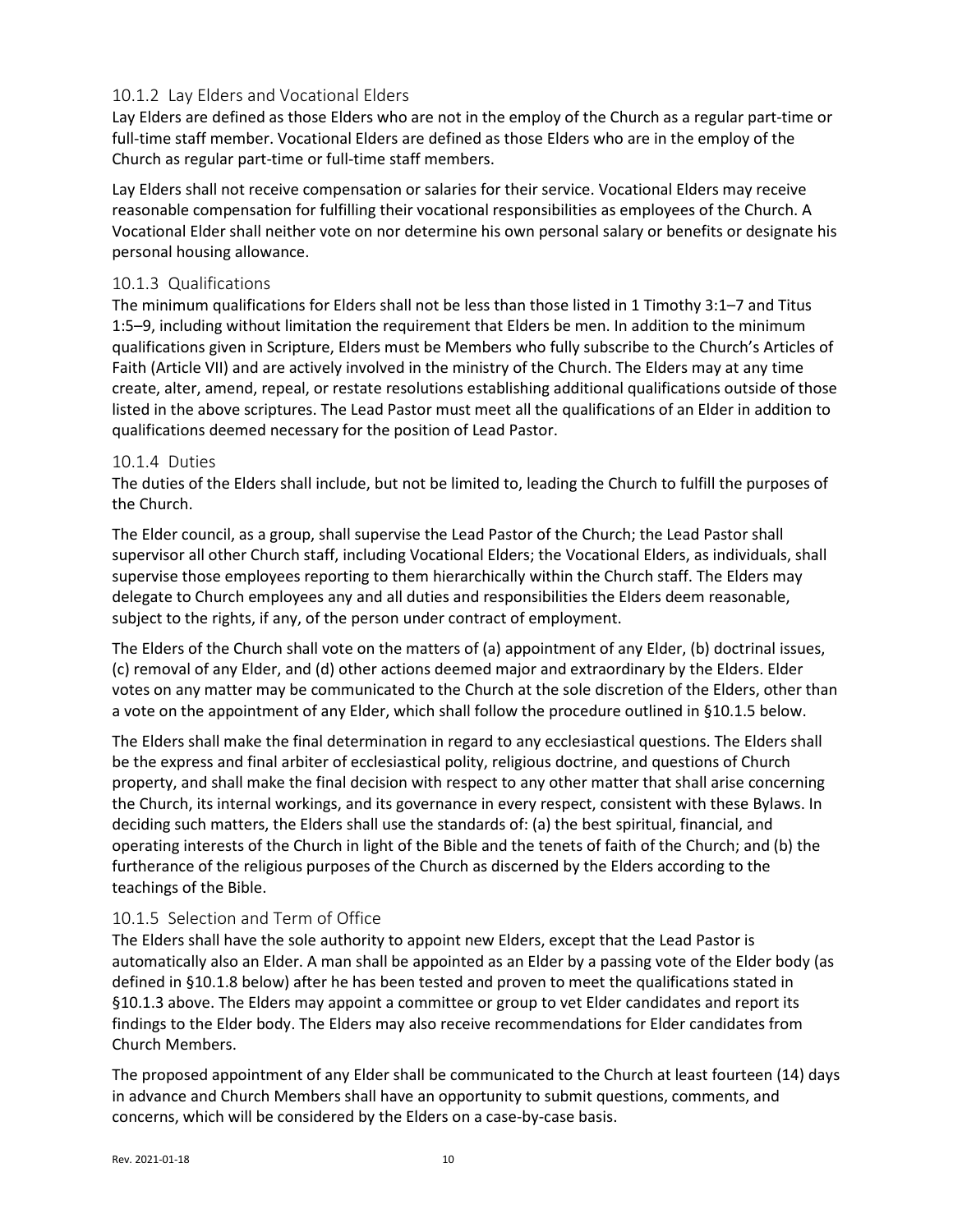## <span id="page-9-0"></span>10.1.2 Lay Elders and Vocational Elders

Lay Elders are defined as those Elders who are not in the employ of the Church as a regular part-time or full-time staff member. Vocational Elders are defined as those Elders who are in the employ of the Church as regular part-time or full-time staff members.

Lay Elders shall not receive compensation or salaries for their service. Vocational Elders may receive reasonable compensation for fulfilling their vocational responsibilities as employees of the Church. A Vocational Elder shall neither vote on nor determine his own personal salary or benefits or designate his personal housing allowance.

#### <span id="page-9-2"></span>10.1.3 Qualifications

The minimum qualifications for Elders shall not be less than those listed in 1 Timothy 3:1–7 and Titus 1:5–9, including without limitation the requirement that Elders be men. In addition to the minimum qualifications given in Scripture, Elders must be Members who fully subscribe to the Church's Articles of Faith [\(Article VII\)](#page-4-1) and are actively involved in the ministry of the Church. The Elders may at any time create, alter, amend, repeal, or restate resolutions establishing additional qualifications outside of those listed in the above scriptures. The Lead Pastor must meet all the qualifications of an Elder in addition to qualifications deemed necessary for the position of Lead Pastor.

#### 10.1.4 Duties

The duties of the Elders shall include, but not be limited to, leading the Church to fulfill the purposes of the Church.

The Elder council, as a group, shall supervise the Lead Pastor of the Church; the Lead Pastor shall supervisor all other Church staff, including Vocational Elders; the Vocational Elders, as individuals, shall supervise those employees reporting to them hierarchically within the Church staff. The Elders may delegate to Church employees any and all duties and responsibilities the Elders deem reasonable, subject to the rights, if any, of the person under contract of employment.

The Elders of the Church shall vote on the matters of (a) appointment of any Elder, (b) doctrinal issues, (c) removal of any Elder, and (d) other actions deemed major and extraordinary by the Elders. Elder votes on any matter may be communicated to the Church at the sole discretion of the Elders, other than a vote on the appointment of any Elder, which shall follow the procedure outlined in [§10.1.5](#page-9-1) below.

The Elders shall make the final determination in regard to any ecclesiastical questions. The Elders shall be the express and final arbiter of ecclesiastical polity, religious doctrine, and questions of Church property, and shall make the final decision with respect to any other matter that shall arise concerning the Church, its internal workings, and its governance in every respect, consistent with these Bylaws. In deciding such matters, the Elders shall use the standards of: (a) the best spiritual, financial, and operating interests of the Church in light of the Bible and the tenets of faith of the Church; and (b) the furtherance of the religious purposes of the Church as discerned by the Elders according to the teachings of the Bible.

## <span id="page-9-1"></span>10.1.5 Selection and Term of Office

The Elders shall have the sole authority to appoint new Elders, except that the Lead Pastor is automatically also an Elder. A man shall be appointed as an Elder by a passing vote of the Elder body (as defined in [§10.1.8](#page-10-1) below) after he has been tested and proven to meet the qualifications stated in [§10.1.3](#page-9-2) above. The Elders may appoint a committee or group to vet Elder candidates and report its findings to the Elder body. The Elders may also receive recommendations for Elder candidates from Church Members.

The proposed appointment of any Elder shall be communicated to the Church at least fourteen (14) days in advance and Church Members shall have an opportunity to submit questions, comments, and concerns, which will be considered by the Elders on a case-by-case basis.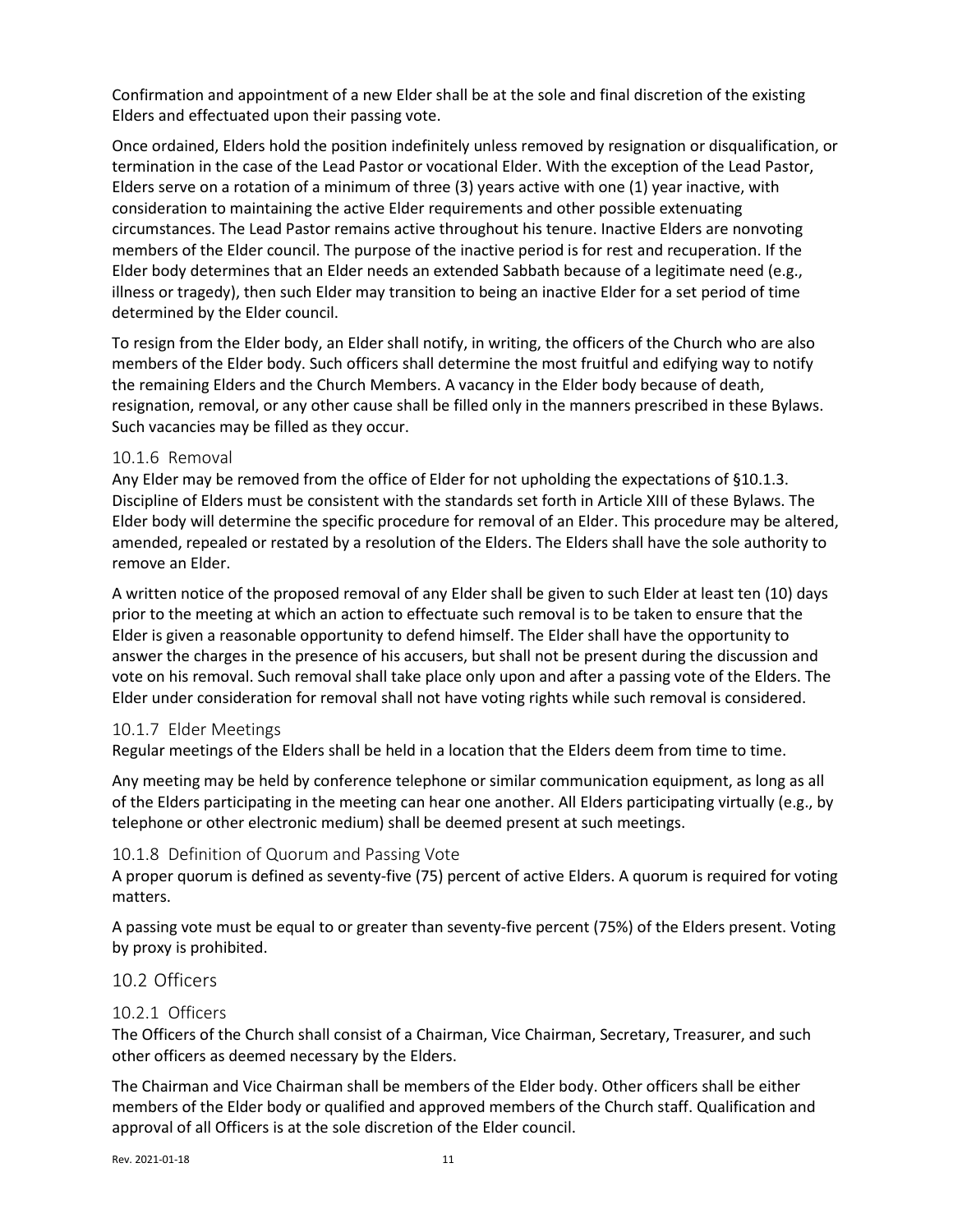Confirmation and appointment of a new Elder shall be at the sole and final discretion of the existing Elders and effectuated upon their passing vote.

Once ordained, Elders hold the position indefinitely unless removed by resignation or disqualification, or termination in the case of the Lead Pastor or vocational Elder. With the exception of the Lead Pastor, Elders serve on a rotation of a minimum of three (3) years active with one (1) year inactive, with consideration to maintaining the active Elder requirements and other possible extenuating circumstances. The Lead Pastor remains active throughout his tenure. Inactive Elders are nonvoting members of the Elder council. The purpose of the inactive period is for rest and recuperation. If the Elder body determines that an Elder needs an extended Sabbath because of a legitimate need (e.g., illness or tragedy), then such Elder may transition to being an inactive Elder for a set period of time determined by the Elder council.

To resign from the Elder body, an Elder shall notify, in writing, the officers of the Church who are also members of the Elder body. Such officers shall determine the most fruitful and edifying way to notify the remaining Elders and the Church Members. A vacancy in the Elder body because of death, resignation, removal, or any other cause shall be filled only in the manners prescribed in these Bylaws. Such vacancies may be filled as they occur.

#### 10.1.6 Removal

Any Elder may be removed from the office of Elder for not upholding the expectations of [§10.1.3.](#page-9-2) Discipline of Elders must be consistent with the standards set forth in [Article XIII](#page-13-0) of these Bylaws. The Elder body will determine the specific procedure for removal of an Elder. This procedure may be altered, amended, repealed or restated by a resolution of the Elders. The Elders shall have the sole authority to remove an Elder.

A written notice of the proposed removal of any Elder shall be given to such Elder at least ten (10) days prior to the meeting at which an action to effectuate such removal is to be taken to ensure that the Elder is given a reasonable opportunity to defend himself. The Elder shall have the opportunity to answer the charges in the presence of his accusers, but shall not be present during the discussion and vote on his removal. Such removal shall take place only upon and after a passing vote of the Elders. The Elder under consideration for removal shall not have voting rights while such removal is considered.

#### <span id="page-10-2"></span>10.1.7 Elder Meetings

Regular meetings of the Elders shall be held in a location that the Elders deem from time to time.

Any meeting may be held by conference telephone or similar communication equipment, as long as all of the Elders participating in the meeting can hear one another. All Elders participating virtually (e.g., by telephone or other electronic medium) shall be deemed present at such meetings.

#### <span id="page-10-1"></span>10.1.8 Definition of Quorum and Passing Vote

A proper quorum is defined as seventy-five (75) percent of active Elders. A quorum is required for voting matters.

A passing vote must be equal to or greater than seventy-five percent (75%) of the Elders present. Voting by proxy is prohibited.

#### <span id="page-10-0"></span>10.2 Officers

#### 10.2.1 Officers

The Officers of the Church shall consist of a Chairman, Vice Chairman, Secretary, Treasurer, and such other officers as deemed necessary by the Elders.

The Chairman and Vice Chairman shall be members of the Elder body. Other officers shall be either members of the Elder body or qualified and approved members of the Church staff. Qualification and approval of all Officers is at the sole discretion of the Elder council.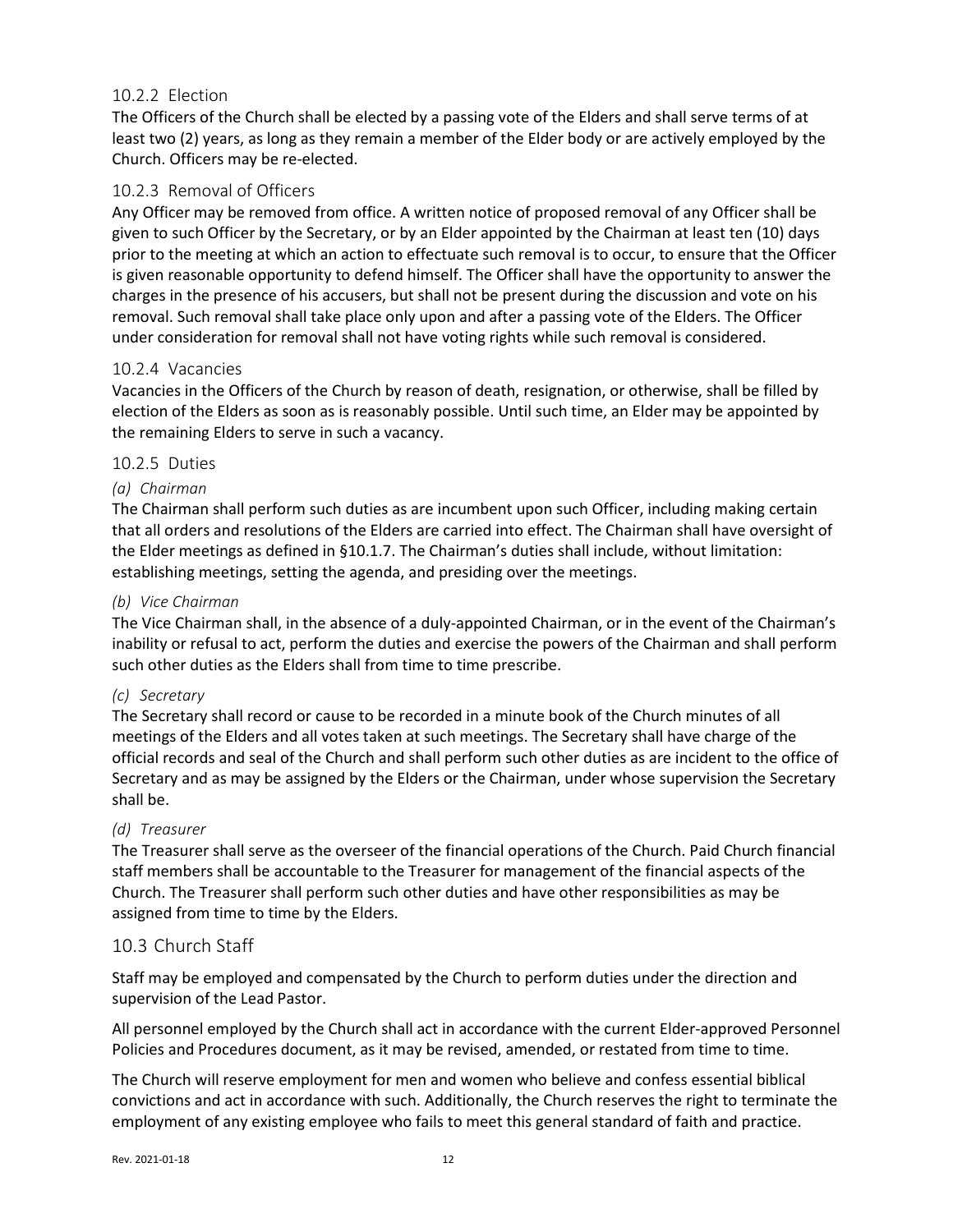#### 10.2.2 Election

The Officers of the Church shall be elected by a passing vote of the Elders and shall serve terms of at least two (2) years, as long as they remain a member of the Elder body or are actively employed by the Church. Officers may be re-elected.

#### 10.2.3 Removal of Officers

Any Officer may be removed from office. A written notice of proposed removal of any Officer shall be given to such Officer by the Secretary, or by an Elder appointed by the Chairman at least ten (10) days prior to the meeting at which an action to effectuate such removal is to occur, to ensure that the Officer is given reasonable opportunity to defend himself. The Officer shall have the opportunity to answer the charges in the presence of his accusers, but shall not be present during the discussion and vote on his removal. Such removal shall take place only upon and after a passing vote of the Elders. The Officer under consideration for removal shall not have voting rights while such removal is considered.

#### 10.2.4 Vacancies

Vacancies in the Officers of the Church by reason of death, resignation, or otherwise, shall be filled by election of the Elders as soon as is reasonably possible. Until such time, an Elder may be appointed by the remaining Elders to serve in such a vacancy.

#### 10.2.5 Duties

#### *(a) Chairman*

The Chairman shall perform such duties as are incumbent upon such Officer, including making certain that all orders and resolutions of the Elders are carried into effect. The Chairman shall have oversight of the Elder meetings as defined in [§10.1.7.](#page-10-2) The Chairman's duties shall include, without limitation: establishing meetings, setting the agenda, and presiding over the meetings.

#### *(b) Vice Chairman*

The Vice Chairman shall, in the absence of a duly-appointed Chairman, or in the event of the Chairman's inability or refusal to act, perform the duties and exercise the powers of the Chairman and shall perform such other duties as the Elders shall from time to time prescribe.

#### *(c) Secretary*

The Secretary shall record or cause to be recorded in a minute book of the Church minutes of all meetings of the Elders and all votes taken at such meetings. The Secretary shall have charge of the official records and seal of the Church and shall perform such other duties as are incident to the office of Secretary and as may be assigned by the Elders or the Chairman, under whose supervision the Secretary shall be.

#### *(d) Treasurer*

The Treasurer shall serve as the overseer of the financial operations of the Church. Paid Church financial staff members shall be accountable to the Treasurer for management of the financial aspects of the Church. The Treasurer shall perform such other duties and have other responsibilities as may be assigned from time to time by the Elders.

#### <span id="page-11-0"></span>10.3 Church Staff

Staff may be employed and compensated by the Church to perform duties under the direction and supervision of the Lead Pastor.

All personnel employed by the Church shall act in accordance with the current Elder-approved Personnel Policies and Procedures document, as it may be revised, amended, or restated from time to time.

The Church will reserve employment for men and women who believe and confess essential biblical convictions and act in accordance with such. Additionally, the Church reserves the right to terminate the employment of any existing employee who fails to meet this general standard of faith and practice.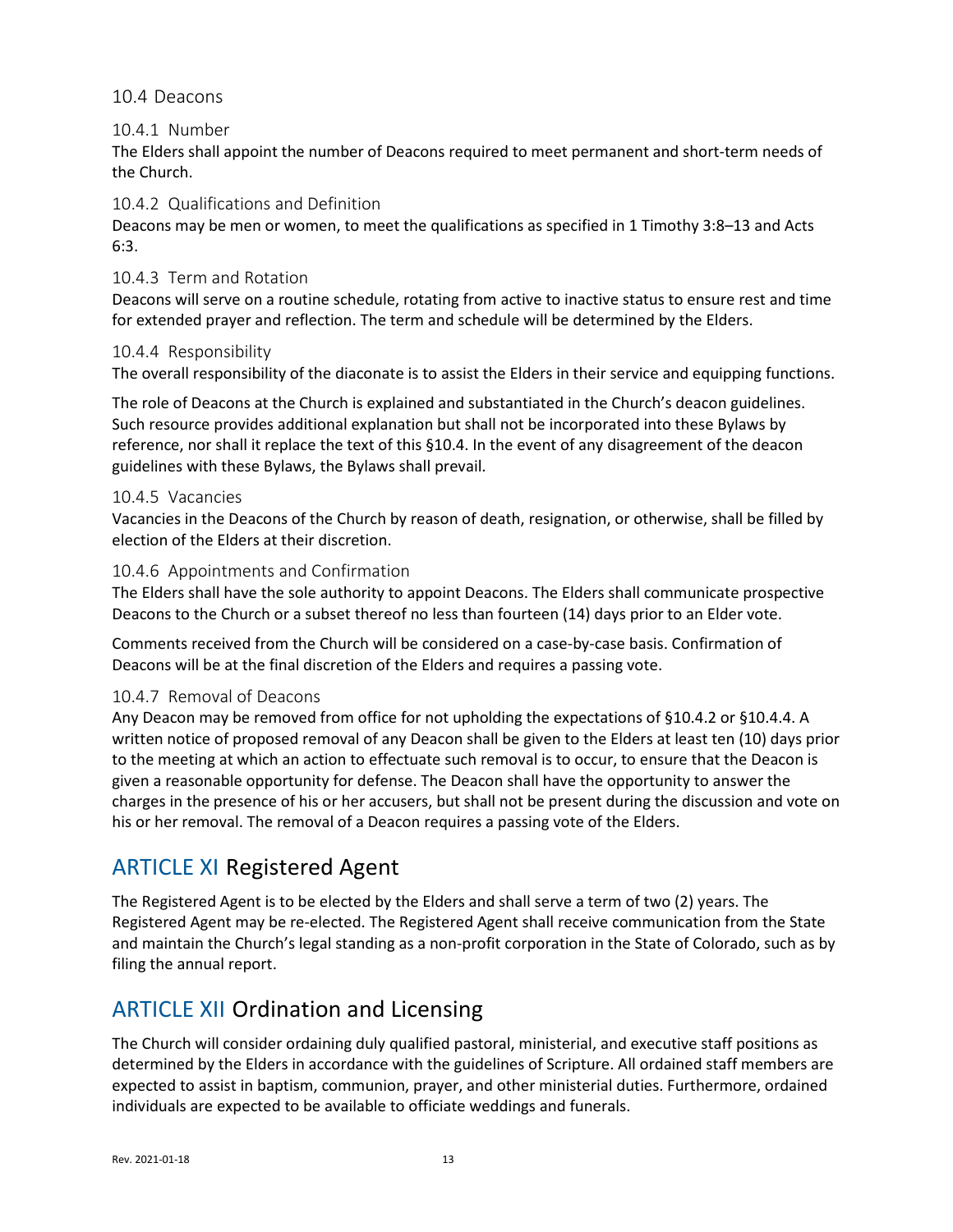#### <span id="page-12-0"></span>10.4 Deacons

#### 10.4.1 Number

The Elders shall appoint the number of Deacons required to meet permanent and short-term needs of the Church.

#### <span id="page-12-3"></span>10.4.2 Qualifications and Definition

Deacons may be men or women, to meet the qualifications as specified in 1 Timothy 3:8–13 and Acts 6:3.

#### 10.4.3 Term and Rotation

Deacons will serve on a routine schedule, rotating from active to inactive status to ensure rest and time for extended prayer and reflection. The term and schedule will be determined by the Elders.

#### <span id="page-12-4"></span>10.4.4 Responsibility

The overall responsibility of the diaconate is to assist the Elders in their service and equipping functions.

The role of Deacons at the Church is explained and substantiated in the Church's deacon guidelines. Such resource provides additional explanation but shall not be incorporated into these Bylaws by reference, nor shall it replace the text of this [§10.4.](#page-12-0) In the event of any disagreement of the deacon guidelines with these Bylaws, the Bylaws shall prevail.

#### 10.4.5 Vacancies

Vacancies in the Deacons of the Church by reason of death, resignation, or otherwise, shall be filled by election of the Elders at their discretion.

#### 10.4.6 Appointments and Confirmation

The Elders shall have the sole authority to appoint Deacons. The Elders shall communicate prospective Deacons to the Church or a subset thereof no less than fourteen (14) days prior to an Elder vote.

Comments received from the Church will be considered on a case-by-case basis. Confirmation of Deacons will be at the final discretion of the Elders and requires a passing vote.

#### 10.4.7 Removal of Deacons

Any Deacon may be removed from office for not upholding the expectations of [§10.4.2](#page-12-3) or [§10.4.4.](#page-12-4) A written notice of proposed removal of any Deacon shall be given to the Elders at least ten (10) days prior to the meeting at which an action to effectuate such removal is to occur, to ensure that the Deacon is given a reasonable opportunity for defense. The Deacon shall have the opportunity to answer the charges in the presence of his or her accusers, but shall not be present during the discussion and vote on his or her removal. The removal of a Deacon requires a passing vote of the Elders.

## <span id="page-12-1"></span>ARTICLE XI Registered Agent

The Registered Agent is to be elected by the Elders and shall serve a term of two (2) years. The Registered Agent may be re-elected. The Registered Agent shall receive communication from the State and maintain the Church's legal standing as a non-profit corporation in the State of Colorado, such as by filing the annual report.

# <span id="page-12-2"></span>ARTICLE XII Ordination and Licensing

The Church will consider ordaining duly qualified pastoral, ministerial, and executive staff positions as determined by the Elders in accordance with the guidelines of Scripture. All ordained staff members are expected to assist in baptism, communion, prayer, and other ministerial duties. Furthermore, ordained individuals are expected to be available to officiate weddings and funerals.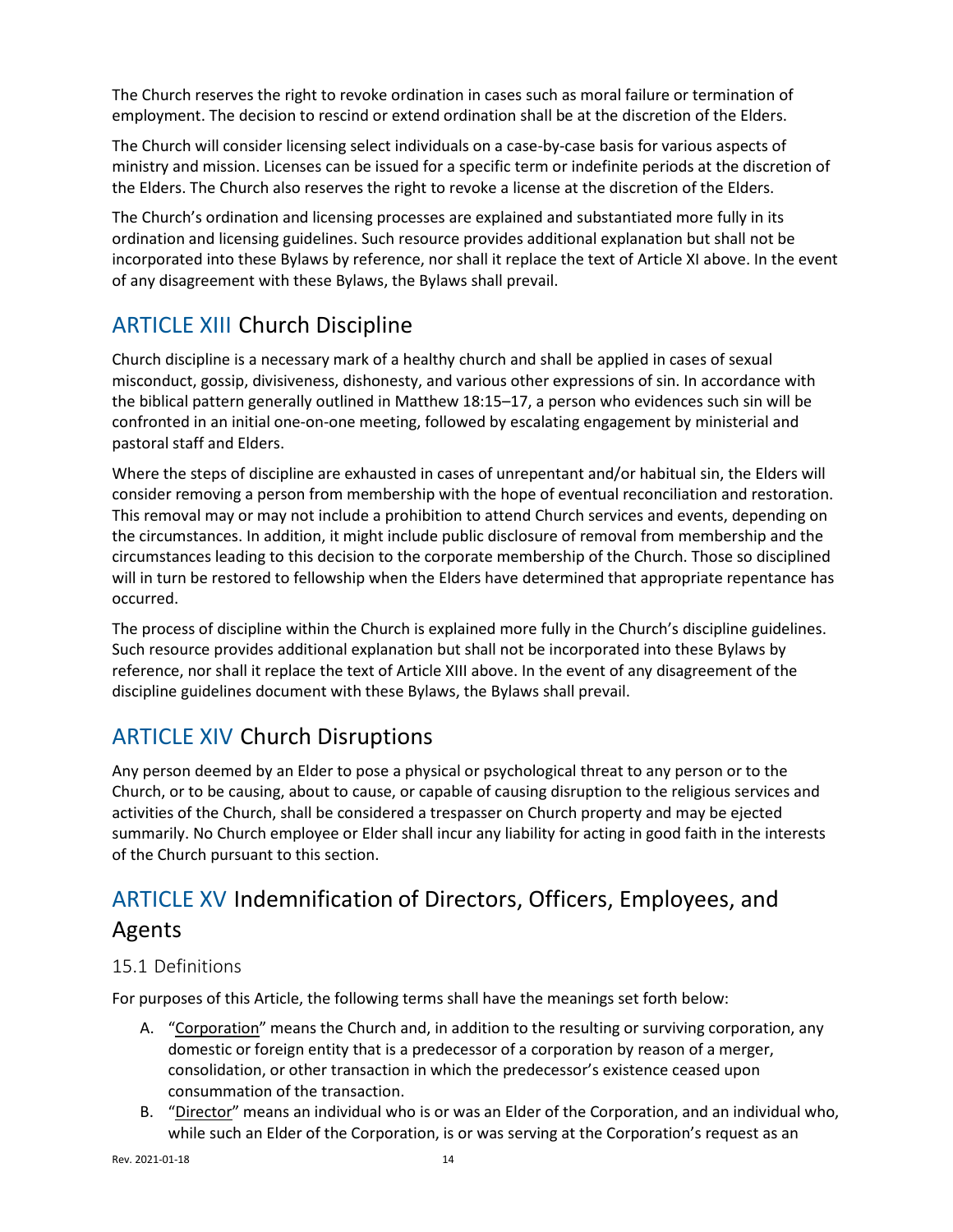The Church reserves the right to revoke ordination in cases such as moral failure or termination of employment. The decision to rescind or extend ordination shall be at the discretion of the Elders.

The Church will consider licensing select individuals on a case-by-case basis for various aspects of ministry and mission. Licenses can be issued for a specific term or indefinite periods at the discretion of the Elders. The Church also reserves the right to revoke a license at the discretion of the Elders.

The Church's ordination and licensing processes are explained and substantiated more fully in its ordination and licensing guidelines. Such resource provides additional explanation but shall not be incorporated into these Bylaws by reference, nor shall it replace the text o[f Article XI](#page-12-1) above. In the event of any disagreement with these Bylaws, the Bylaws shall prevail.

# <span id="page-13-0"></span>ARTICLE XIII Church Discipline

Church discipline is a necessary mark of a healthy church and shall be applied in cases of sexual misconduct, gossip, divisiveness, dishonesty, and various other expressions of sin. In accordance with the biblical pattern generally outlined in Matthew 18:15–17, a person who evidences such sin will be confronted in an initial one-on-one meeting, followed by escalating engagement by ministerial and pastoral staff and Elders.

Where the steps of discipline are exhausted in cases of unrepentant and/or habitual sin, the Elders will consider removing a person from membership with the hope of eventual reconciliation and restoration. This removal may or may not include a prohibition to attend Church services and events, depending on the circumstances. In addition, it might include public disclosure of removal from membership and the circumstances leading to this decision to the corporate membership of the Church. Those so disciplined will in turn be restored to fellowship when the Elders have determined that appropriate repentance has occurred.

The process of discipline within the Church is explained more fully in the Church's discipline guidelines. Such resource provides additional explanation but shall not be incorporated into these Bylaws by reference, nor shall it replace the text o[f Article XIII](#page-13-0) above. In the event of any disagreement of the discipline guidelines document with these Bylaws, the Bylaws shall prevail.

# <span id="page-13-1"></span>ARTICLE XIV Church Disruptions

Any person deemed by an Elder to pose a physical or psychological threat to any person or to the Church, or to be causing, about to cause, or capable of causing disruption to the religious services and activities of the Church, shall be considered a trespasser on Church property and may be ejected summarily. No Church employee or Elder shall incur any liability for acting in good faith in the interests of the Church pursuant to this section.

# <span id="page-13-2"></span>ARTICLE XV Indemnification of Directors, Officers, Employees, and Agents

## <span id="page-13-3"></span>15.1 Definitions

For purposes of this Article, the following terms shall have the meanings set forth below:

- A. "Corporation" means the Church and, in addition to the resulting or surviving corporation, any domestic or foreign entity that is a predecessor of a corporation by reason of a merger, consolidation, or other transaction in which the predecessor's existence ceased upon consummation of the transaction.
- B. "Director" means an individual who is or was an Elder of the Corporation, and an individual who, while such an Elder of the Corporation, is or was serving at the Corporation's request as an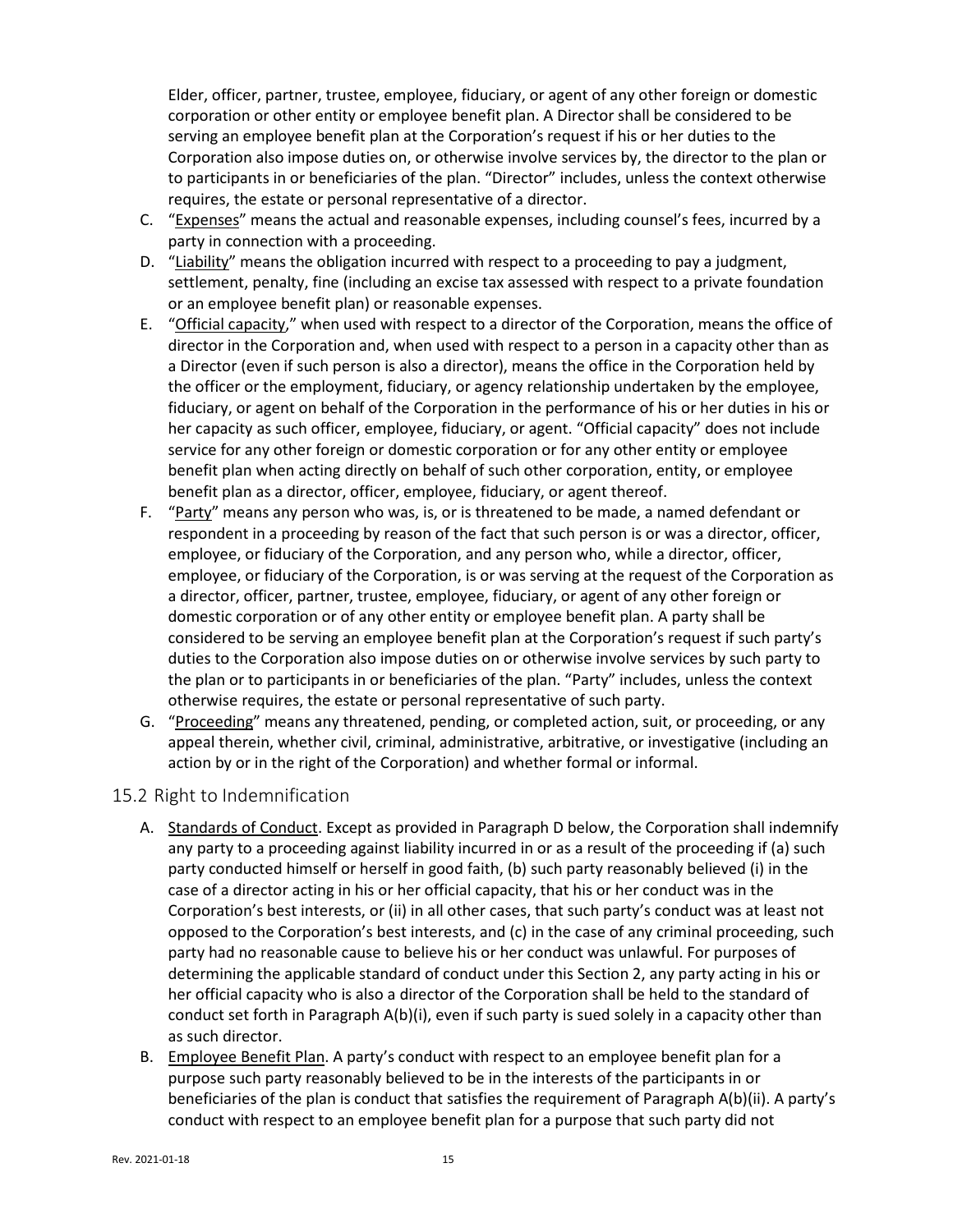Elder, officer, partner, trustee, employee, fiduciary, or agent of any other foreign or domestic corporation or other entity or employee benefit plan. A Director shall be considered to be serving an employee benefit plan at the Corporation's request if his or her duties to the Corporation also impose duties on, or otherwise involve services by, the director to the plan or to participants in or beneficiaries of the plan. "Director" includes, unless the context otherwise requires, the estate or personal representative of a director.

- C. "Expenses" means the actual and reasonable expenses, including counsel's fees, incurred by a party in connection with a proceeding.
- D. "Liability" means the obligation incurred with respect to a proceeding to pay a judgment, settlement, penalty, fine (including an excise tax assessed with respect to a private foundation or an employee benefit plan) or reasonable expenses.
- E. "Official capacity," when used with respect to a director of the Corporation, means the office of director in the Corporation and, when used with respect to a person in a capacity other than as a Director (even if such person is also a director), means the office in the Corporation held by the officer or the employment, fiduciary, or agency relationship undertaken by the employee, fiduciary, or agent on behalf of the Corporation in the performance of his or her duties in his or her capacity as such officer, employee, fiduciary, or agent. "Official capacity" does not include service for any other foreign or domestic corporation or for any other entity or employee benefit plan when acting directly on behalf of such other corporation, entity, or employee benefit plan as a director, officer, employee, fiduciary, or agent thereof.
- F. "Party" means any person who was, is, or is threatened to be made, a named defendant or respondent in a proceeding by reason of the fact that such person is or was a director, officer, employee, or fiduciary of the Corporation, and any person who, while a director, officer, employee, or fiduciary of the Corporation, is or was serving at the request of the Corporation as a director, officer, partner, trustee, employee, fiduciary, or agent of any other foreign or domestic corporation or of any other entity or employee benefit plan. A party shall be considered to be serving an employee benefit plan at the Corporation's request if such party's duties to the Corporation also impose duties on or otherwise involve services by such party to the plan or to participants in or beneficiaries of the plan. "Party" includes, unless the context otherwise requires, the estate or personal representative of such party.
- G. "Proceeding" means any threatened, pending, or completed action, suit, or proceeding, or any appeal therein, whether civil, criminal, administrative, arbitrative, or investigative (including an action by or in the right of the Corporation) and whether formal or informal.

## <span id="page-14-0"></span>15.2 Right to Indemnification

- A. Standards of Conduct. Except as provided in Paragraph D below, the Corporation shall indemnify any party to a proceeding against liability incurred in or as a result of the proceeding if (a) such party conducted himself or herself in good faith, (b) such party reasonably believed (i) in the case of a director acting in his or her official capacity, that his or her conduct was in the Corporation's best interests, or (ii) in all other cases, that such party's conduct was at least not opposed to the Corporation's best interests, and (c) in the case of any criminal proceeding, such party had no reasonable cause to believe his or her conduct was unlawful. For purposes of determining the applicable standard of conduct under this Section 2, any party acting in his or her official capacity who is also a director of the Corporation shall be held to the standard of conduct set forth in Paragraph A(b)(i), even if such party is sued solely in a capacity other than as such director.
- B. Employee Benefit Plan. A party's conduct with respect to an employee benefit plan for a purpose such party reasonably believed to be in the interests of the participants in or beneficiaries of the plan is conduct that satisfies the requirement of Paragraph A(b)(ii). A party's conduct with respect to an employee benefit plan for a purpose that such party did not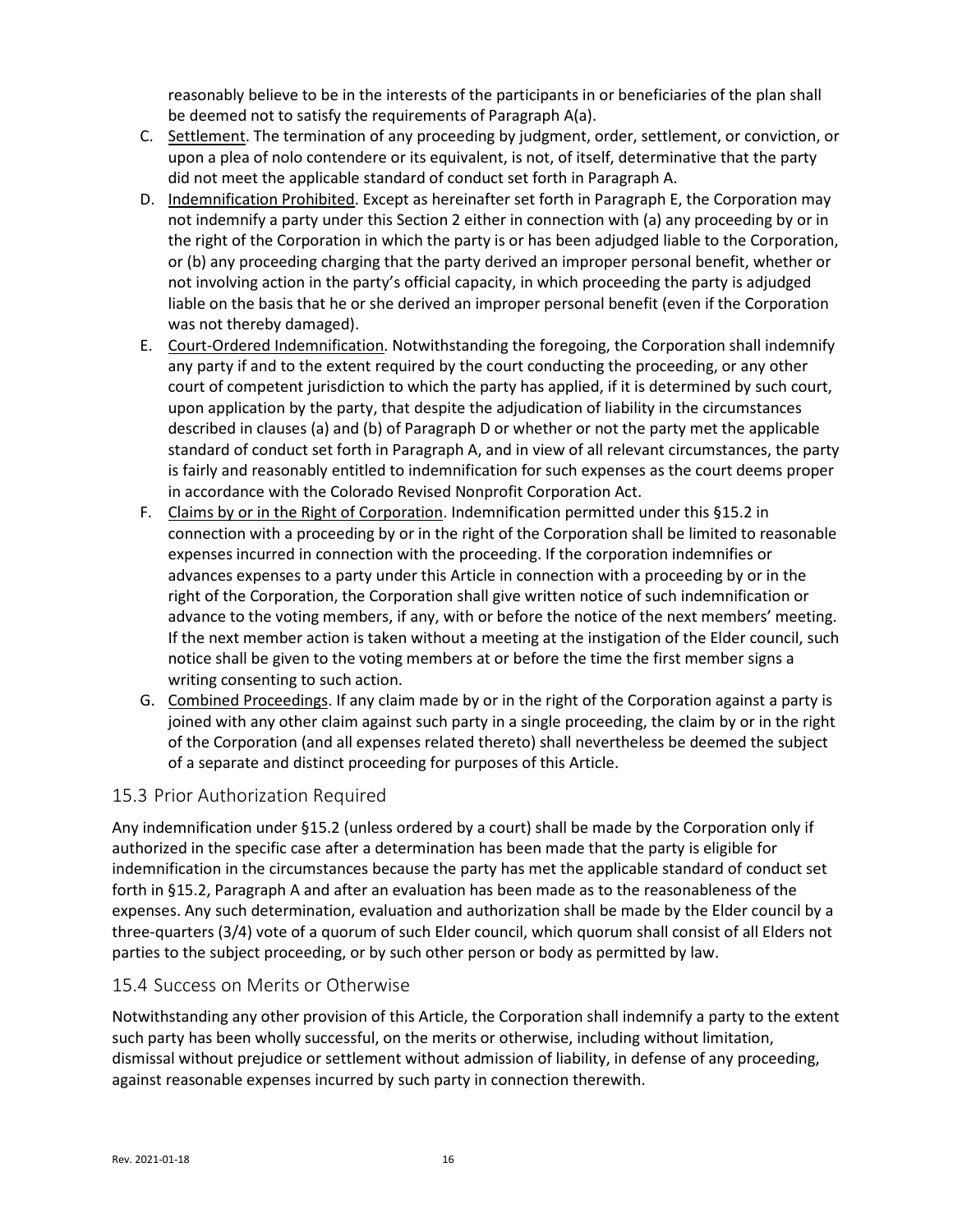reasonably believe to be in the interests of the participants in or beneficiaries of the plan shall be deemed not to satisfy the requirements of Paragraph A(a).

- C. Settlement. The termination of any proceeding by judgment, order, settlement, or conviction, or upon a plea of nolo contendere or its equivalent, is not, of itself, determinative that the party did not meet the applicable standard of conduct set forth in Paragraph A.
- D. Indemnification Prohibited. Except as hereinafter set forth in Paragraph E, the Corporation may not indemnify a party under this Section 2 either in connection with (a) any proceeding by or in the right of the Corporation in which the party is or has been adjudged liable to the Corporation, or (b) any proceeding charging that the party derived an improper personal benefit, whether or not involving action in the party's official capacity, in which proceeding the party is adjudged liable on the basis that he or she derived an improper personal benefit (even if the Corporation was not thereby damaged).
- E. Court-Ordered Indemnification. Notwithstanding the foregoing, the Corporation shall indemnify any party if and to the extent required by the court conducting the proceeding, or any other court of competent jurisdiction to which the party has applied, if it is determined by such court, upon application by the party, that despite the adjudication of liability in the circumstances described in clauses (a) and (b) of Paragraph D or whether or not the party met the applicable standard of conduct set forth in Paragraph A, and in view of all relevant circumstances, the party is fairly and reasonably entitled to indemnification for such expenses as the court deems proper in accordance with the Colorado Revised Nonprofit Corporation Act.
- F. Claims by or in the Right of Corporation. Indemnification permitted under this [§15.2](#page-14-0) in connection with a proceeding by or in the right of the Corporation shall be limited to reasonable expenses incurred in connection with the proceeding. If the corporation indemnifies or advances expenses to a party under this Article in connection with a proceeding by or in the right of the Corporation, the Corporation shall give written notice of such indemnification or advance to the voting members, if any, with or before the notice of the next members' meeting. If the next member action is taken without a meeting at the instigation of the Elder council, such notice shall be given to the voting members at or before the time the first member signs a writing consenting to such action.
- G. Combined Proceedings. If any claim made by or in the right of the Corporation against a party is joined with any other claim against such party in a single proceeding, the claim by or in the right of the Corporation (and all expenses related thereto) shall nevertheless be deemed the subject of a separate and distinct proceeding for purposes of this Article.

## <span id="page-15-0"></span>15.3 Prior Authorization Required

Any indemnification under [§15.2](#page-14-0) (unless ordered by a court) shall be made by the Corporation only if authorized in the specific case after a determination has been made that the party is eligible for indemnification in the circumstances because the party has met the applicable standard of conduct set forth in [§15.2,](#page-14-0) Paragraph A and after an evaluation has been made as to the reasonableness of the expenses. Any such determination, evaluation and authorization shall be made by the Elder council by a three-quarters (3/4) vote of a quorum of such Elder council, which quorum shall consist of all Elders not parties to the subject proceeding, or by such other person or body as permitted by law.

## <span id="page-15-1"></span>15.4 Success on Merits or Otherwise

Notwithstanding any other provision of this Article, the Corporation shall indemnify a party to the extent such party has been wholly successful, on the merits or otherwise, including without limitation, dismissal without prejudice or settlement without admission of liability, in defense of any proceeding, against reasonable expenses incurred by such party in connection therewith.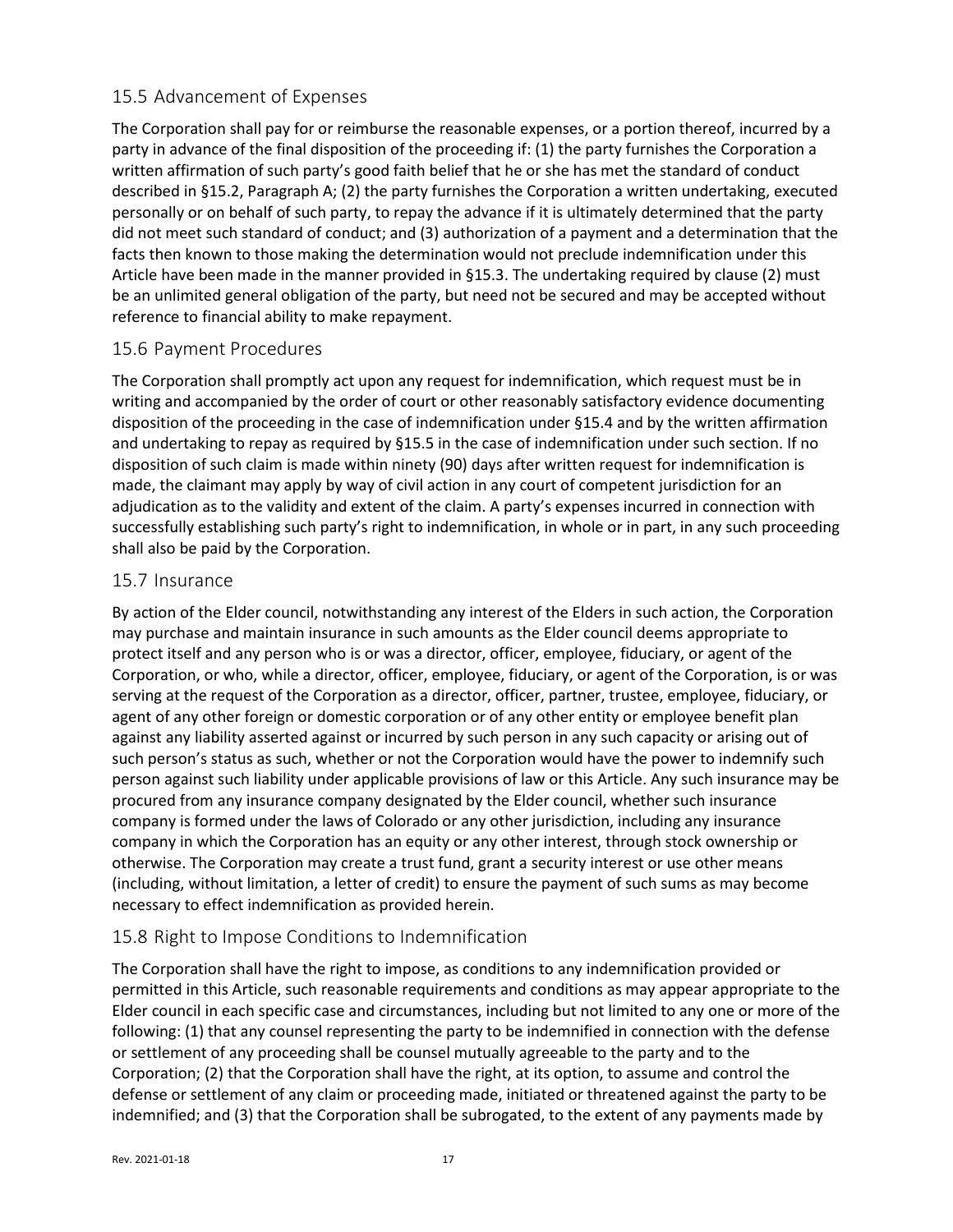## <span id="page-16-0"></span>15.5 Advancement of Expenses

The Corporation shall pay for or reimburse the reasonable expenses, or a portion thereof, incurred by a party in advance of the final disposition of the proceeding if: (1) the party furnishes the Corporation a written affirmation of such party's good faith belief that he or she has met the standard of conduct described in [§15.2,](#page-14-0) Paragraph A; (2) the party furnishes the Corporation a written undertaking, executed personally or on behalf of such party, to repay the advance if it is ultimately determined that the party did not meet such standard of conduct; and (3) authorization of a payment and a determination that the facts then known to those making the determination would not preclude indemnification under this Article have been made in the manner provided in [§15.3.](#page-15-0) The undertaking required by clause (2) must be an unlimited general obligation of the party, but need not be secured and may be accepted without reference to financial ability to make repayment.

## <span id="page-16-1"></span>15.6 Payment Procedures

The Corporation shall promptly act upon any request for indemnification, which request must be in writing and accompanied by the order of court or other reasonably satisfactory evidence documenting disposition of the proceeding in the case of indemnification under [§15.4](#page-15-1) and by the written affirmation and undertaking to repay as required by [§15.5](#page-16-0) in the case of indemnification under such section. If no disposition of such claim is made within ninety (90) days after written request for indemnification is made, the claimant may apply by way of civil action in any court of competent jurisdiction for an adjudication as to the validity and extent of the claim. A party's expenses incurred in connection with successfully establishing such party's right to indemnification, in whole or in part, in any such proceeding shall also be paid by the Corporation.

#### <span id="page-16-2"></span>15.7 Insurance

By action of the Elder council, notwithstanding any interest of the Elders in such action, the Corporation may purchase and maintain insurance in such amounts as the Elder council deems appropriate to protect itself and any person who is or was a director, officer, employee, fiduciary, or agent of the Corporation, or who, while a director, officer, employee, fiduciary, or agent of the Corporation, is or was serving at the request of the Corporation as a director, officer, partner, trustee, employee, fiduciary, or agent of any other foreign or domestic corporation or of any other entity or employee benefit plan against any liability asserted against or incurred by such person in any such capacity or arising out of such person's status as such, whether or not the Corporation would have the power to indemnify such person against such liability under applicable provisions of law or this Article. Any such insurance may be procured from any insurance company designated by the Elder council, whether such insurance company is formed under the laws of Colorado or any other jurisdiction, including any insurance company in which the Corporation has an equity or any other interest, through stock ownership or otherwise. The Corporation may create a trust fund, grant a security interest or use other means (including, without limitation, a letter of credit) to ensure the payment of such sums as may become necessary to effect indemnification as provided herein.

## <span id="page-16-3"></span>15.8 Right to Impose Conditions to Indemnification

The Corporation shall have the right to impose, as conditions to any indemnification provided or permitted in this Article, such reasonable requirements and conditions as may appear appropriate to the Elder council in each specific case and circumstances, including but not limited to any one or more of the following: (1) that any counsel representing the party to be indemnified in connection with the defense or settlement of any proceeding shall be counsel mutually agreeable to the party and to the Corporation; (2) that the Corporation shall have the right, at its option, to assume and control the defense or settlement of any claim or proceeding made, initiated or threatened against the party to be indemnified; and (3) that the Corporation shall be subrogated, to the extent of any payments made by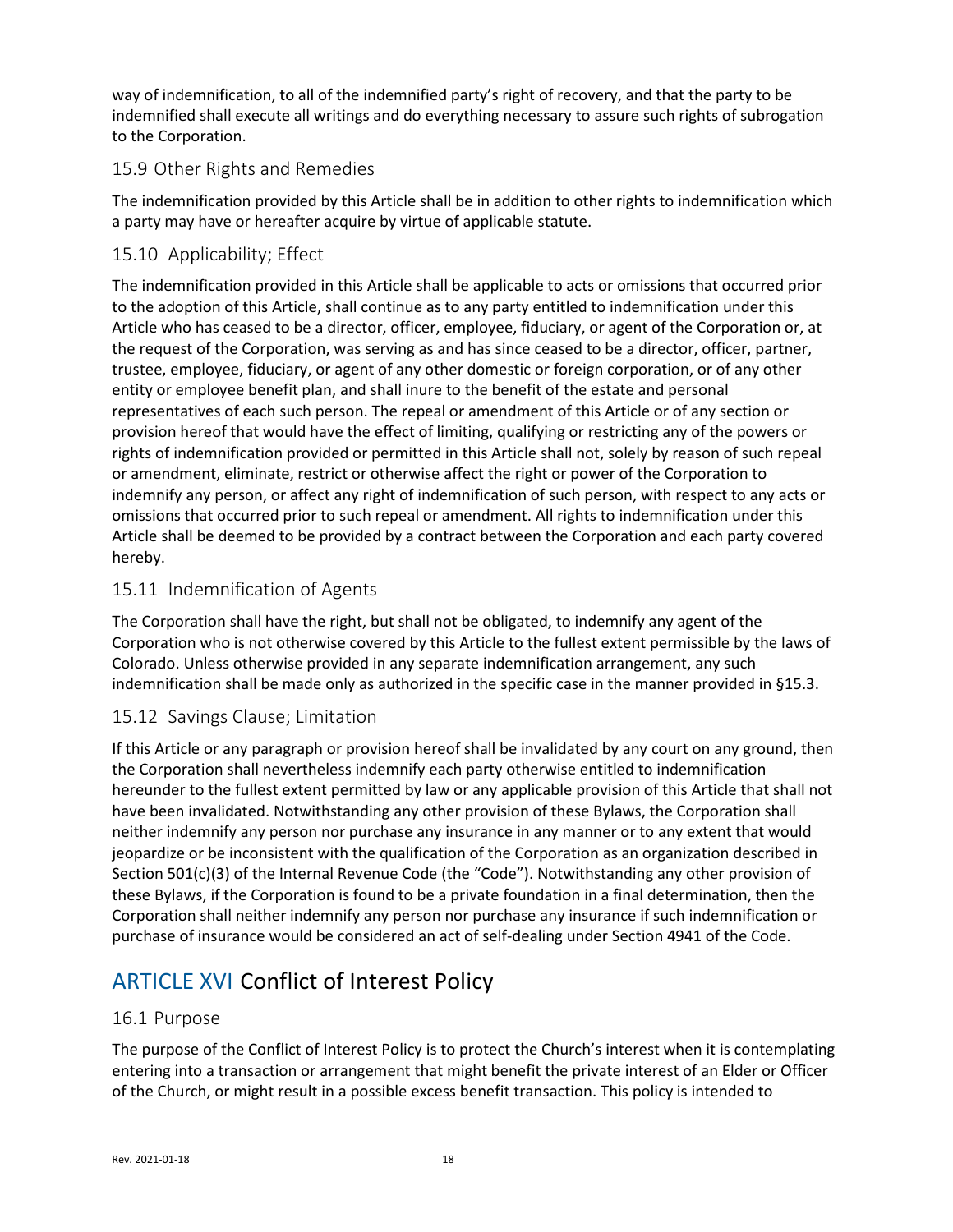way of indemnification, to all of the indemnified party's right of recovery, and that the party to be indemnified shall execute all writings and do everything necessary to assure such rights of subrogation to the Corporation.

## <span id="page-17-0"></span>15.9 Other Rights and Remedies

The indemnification provided by this Article shall be in addition to other rights to indemnification which a party may have or hereafter acquire by virtue of applicable statute.

## <span id="page-17-1"></span>15.10 Applicability; Effect

The indemnification provided in this Article shall be applicable to acts or omissions that occurred prior to the adoption of this Article, shall continue as to any party entitled to indemnification under this Article who has ceased to be a director, officer, employee, fiduciary, or agent of the Corporation or, at the request of the Corporation, was serving as and has since ceased to be a director, officer, partner, trustee, employee, fiduciary, or agent of any other domestic or foreign corporation, or of any other entity or employee benefit plan, and shall inure to the benefit of the estate and personal representatives of each such person. The repeal or amendment of this Article or of any section or provision hereof that would have the effect of limiting, qualifying or restricting any of the powers or rights of indemnification provided or permitted in this Article shall not, solely by reason of such repeal or amendment, eliminate, restrict or otherwise affect the right or power of the Corporation to indemnify any person, or affect any right of indemnification of such person, with respect to any acts or omissions that occurred prior to such repeal or amendment. All rights to indemnification under this Article shall be deemed to be provided by a contract between the Corporation and each party covered hereby.

## <span id="page-17-2"></span>15.11 Indemnification of Agents

The Corporation shall have the right, but shall not be obligated, to indemnify any agent of the Corporation who is not otherwise covered by this Article to the fullest extent permissible by the laws of Colorado. Unless otherwise provided in any separate indemnification arrangement, any such indemnification shall be made only as authorized in the specific case in the manner provided in [§15.3.](#page-15-0)

## <span id="page-17-3"></span>15.12 Savings Clause; Limitation

If this Article or any paragraph or provision hereof shall be invalidated by any court on any ground, then the Corporation shall nevertheless indemnify each party otherwise entitled to indemnification hereunder to the fullest extent permitted by law or any applicable provision of this Article that shall not have been invalidated. Notwithstanding any other provision of these Bylaws, the Corporation shall neither indemnify any person nor purchase any insurance in any manner or to any extent that would jeopardize or be inconsistent with the qualification of the Corporation as an organization described in Section 501(c)(3) of the Internal Revenue Code (the "Code"). Notwithstanding any other provision of these Bylaws, if the Corporation is found to be a private foundation in a final determination, then the Corporation shall neither indemnify any person nor purchase any insurance if such indemnification or purchase of insurance would be considered an act of self-dealing under Section 4941 of the Code.

# <span id="page-17-4"></span>ARTICLE XVI Conflict of Interest Policy

## <span id="page-17-5"></span>16.1 Purpose

The purpose of the Conflict of Interest Policy is to protect the Church's interest when it is contemplating entering into a transaction or arrangement that might benefit the private interest of an Elder or Officer of the Church, or might result in a possible excess benefit transaction. This policy is intended to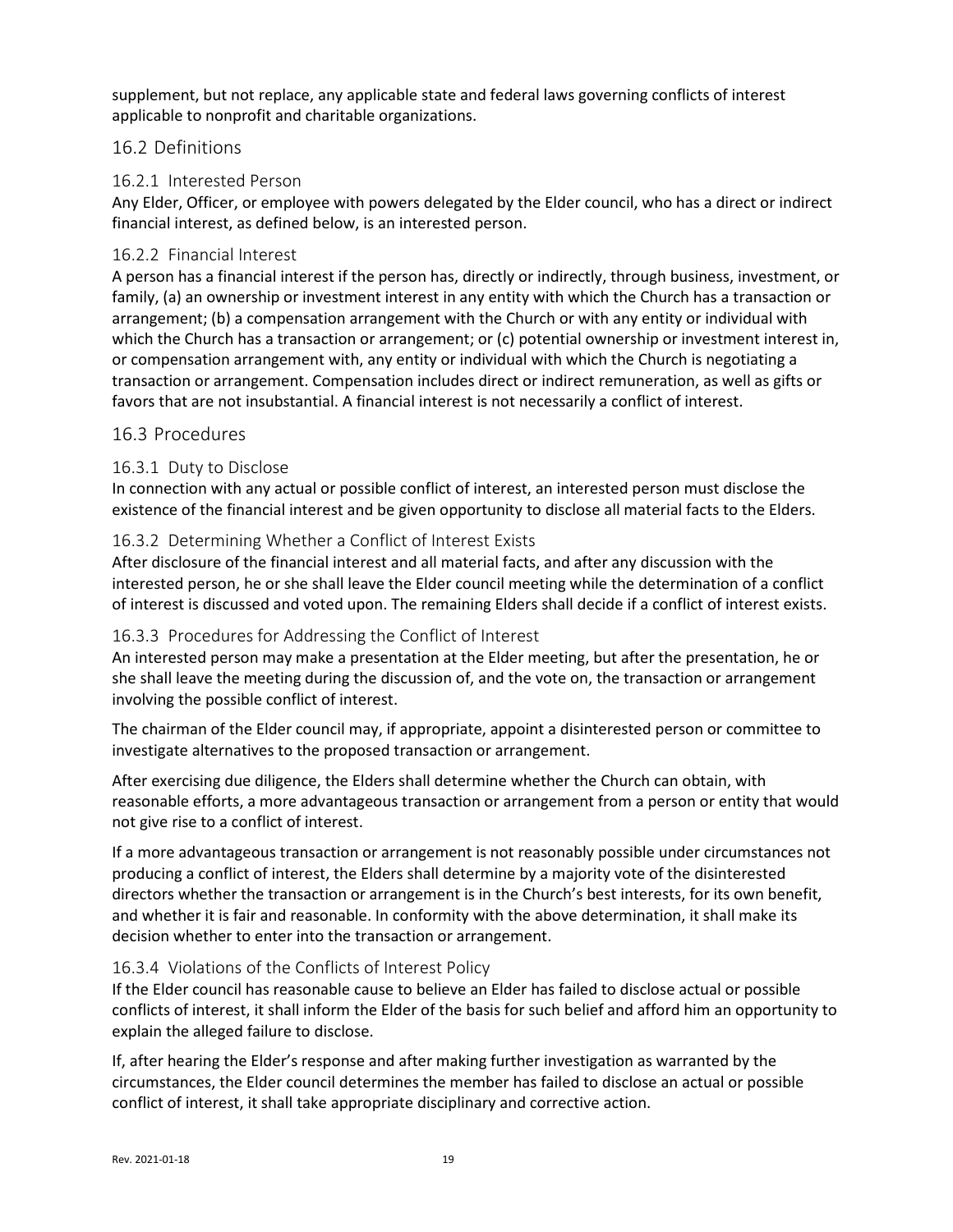supplement, but not replace, any applicable state and federal laws governing conflicts of interest applicable to nonprofit and charitable organizations.

### <span id="page-18-0"></span>16.2 Definitions

#### 16.2.1 Interested Person

Any Elder, Officer, or employee with powers delegated by the Elder council, who has a direct or indirect financial interest, as defined below, is an interested person.

#### 16.2.2 Financial Interest

A person has a financial interest if the person has, directly or indirectly, through business, investment, or family, (a) an ownership or investment interest in any entity with which the Church has a transaction or arrangement; (b) a compensation arrangement with the Church or with any entity or individual with which the Church has a transaction or arrangement; or (c) potential ownership or investment interest in, or compensation arrangement with, any entity or individual with which the Church is negotiating a transaction or arrangement. Compensation includes direct or indirect remuneration, as well as gifts or favors that are not insubstantial. A financial interest is not necessarily a conflict of interest.

#### <span id="page-18-1"></span>16.3 Procedures

#### 16.3.1 Duty to Disclose

In connection with any actual or possible conflict of interest, an interested person must disclose the existence of the financial interest and be given opportunity to disclose all material facts to the Elders.

#### 16.3.2 Determining Whether a Conflict of Interest Exists

After disclosure of the financial interest and all material facts, and after any discussion with the interested person, he or she shall leave the Elder council meeting while the determination of a conflict of interest is discussed and voted upon. The remaining Elders shall decide if a conflict of interest exists.

#### 16.3.3 Procedures for Addressing the Conflict of Interest

An interested person may make a presentation at the Elder meeting, but after the presentation, he or she shall leave the meeting during the discussion of, and the vote on, the transaction or arrangement involving the possible conflict of interest.

The chairman of the Elder council may, if appropriate, appoint a disinterested person or committee to investigate alternatives to the proposed transaction or arrangement.

After exercising due diligence, the Elders shall determine whether the Church can obtain, with reasonable efforts, a more advantageous transaction or arrangement from a person or entity that would not give rise to a conflict of interest.

If a more advantageous transaction or arrangement is not reasonably possible under circumstances not producing a conflict of interest, the Elders shall determine by a majority vote of the disinterested directors whether the transaction or arrangement is in the Church's best interests, for its own benefit, and whether it is fair and reasonable. In conformity with the above determination, it shall make its decision whether to enter into the transaction or arrangement.

#### 16.3.4 Violations of the Conflicts of Interest Policy

If the Elder council has reasonable cause to believe an Elder has failed to disclose actual or possible conflicts of interest, it shall inform the Elder of the basis for such belief and afford him an opportunity to explain the alleged failure to disclose.

If, after hearing the Elder's response and after making further investigation as warranted by the circumstances, the Elder council determines the member has failed to disclose an actual or possible conflict of interest, it shall take appropriate disciplinary and corrective action.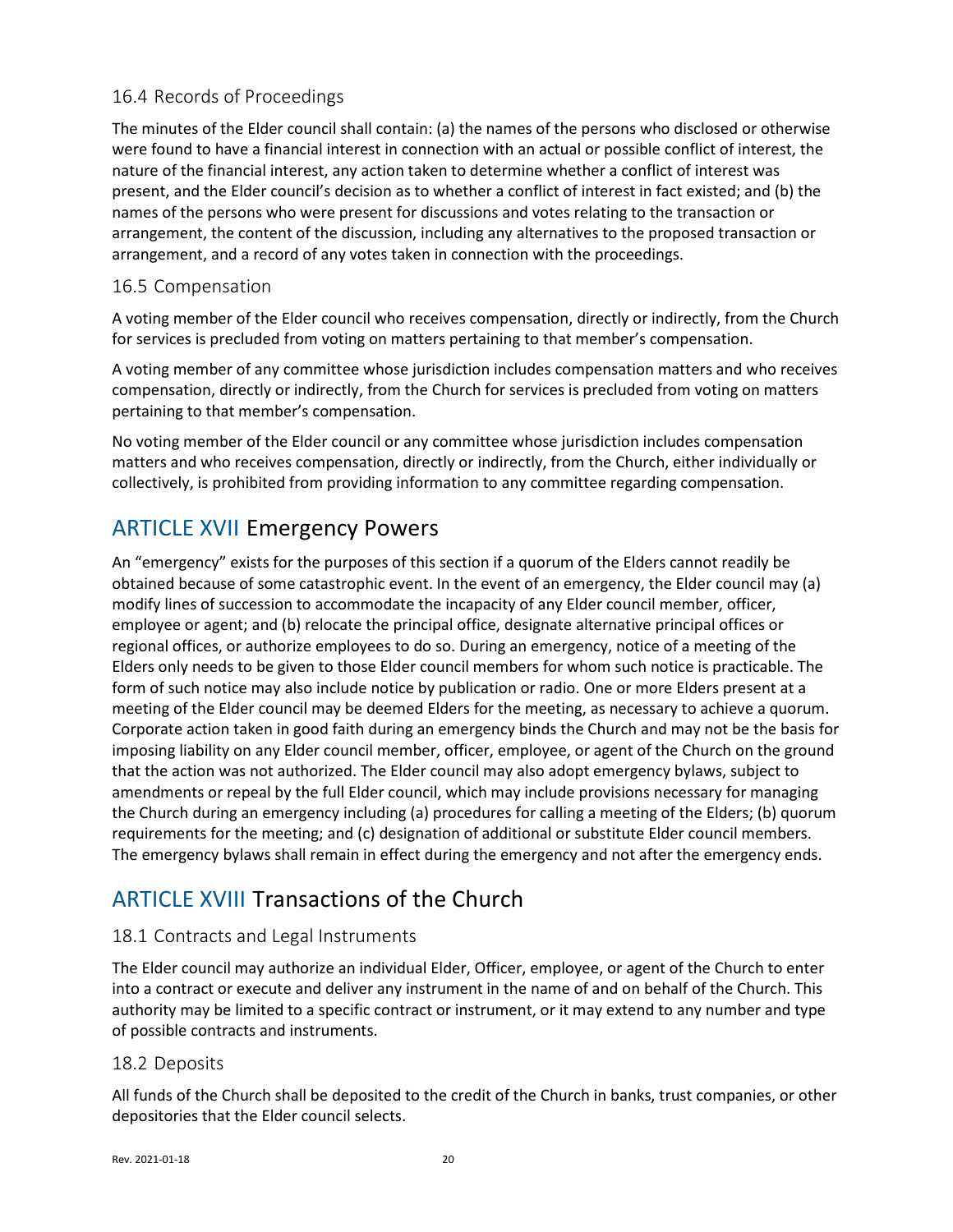## <span id="page-19-0"></span>16.4 Records of Proceedings

The minutes of the Elder council shall contain: (a) the names of the persons who disclosed or otherwise were found to have a financial interest in connection with an actual or possible conflict of interest, the nature of the financial interest, any action taken to determine whether a conflict of interest was present, and the Elder council's decision as to whether a conflict of interest in fact existed; and (b) the names of the persons who were present for discussions and votes relating to the transaction or arrangement, the content of the discussion, including any alternatives to the proposed transaction or arrangement, and a record of any votes taken in connection with the proceedings.

## <span id="page-19-1"></span>16.5 Compensation

A voting member of the Elder council who receives compensation, directly or indirectly, from the Church for services is precluded from voting on matters pertaining to that member's compensation.

A voting member of any committee whose jurisdiction includes compensation matters and who receives compensation, directly or indirectly, from the Church for services is precluded from voting on matters pertaining to that member's compensation.

No voting member of the Elder council or any committee whose jurisdiction includes compensation matters and who receives compensation, directly or indirectly, from the Church, either individually or collectively, is prohibited from providing information to any committee regarding compensation.

# <span id="page-19-2"></span>ARTICLE XVII Emergency Powers

An "emergency" exists for the purposes of this section if a quorum of the Elders cannot readily be obtained because of some catastrophic event. In the event of an emergency, the Elder council may (a) modify lines of succession to accommodate the incapacity of any Elder council member, officer, employee or agent; and (b) relocate the principal office, designate alternative principal offices or regional offices, or authorize employees to do so. During an emergency, notice of a meeting of the Elders only needs to be given to those Elder council members for whom such notice is practicable. The form of such notice may also include notice by publication or radio. One or more Elders present at a meeting of the Elder council may be deemed Elders for the meeting, as necessary to achieve a quorum. Corporate action taken in good faith during an emergency binds the Church and may not be the basis for imposing liability on any Elder council member, officer, employee, or agent of the Church on the ground that the action was not authorized. The Elder council may also adopt emergency bylaws, subject to amendments or repeal by the full Elder council, which may include provisions necessary for managing the Church during an emergency including (a) procedures for calling a meeting of the Elders; (b) quorum requirements for the meeting; and (c) designation of additional or substitute Elder council members. The emergency bylaws shall remain in effect during the emergency and not after the emergency ends.

# <span id="page-19-3"></span>ARTICLE XVIII Transactions of the Church

## <span id="page-19-4"></span>18.1 Contracts and Legal Instruments

The Elder council may authorize an individual Elder, Officer, employee, or agent of the Church to enter into a contract or execute and deliver any instrument in the name of and on behalf of the Church. This authority may be limited to a specific contract or instrument, or it may extend to any number and type of possible contracts and instruments.

## <span id="page-19-5"></span>18.2 Deposits

All funds of the Church shall be deposited to the credit of the Church in banks, trust companies, or other depositories that the Elder council selects.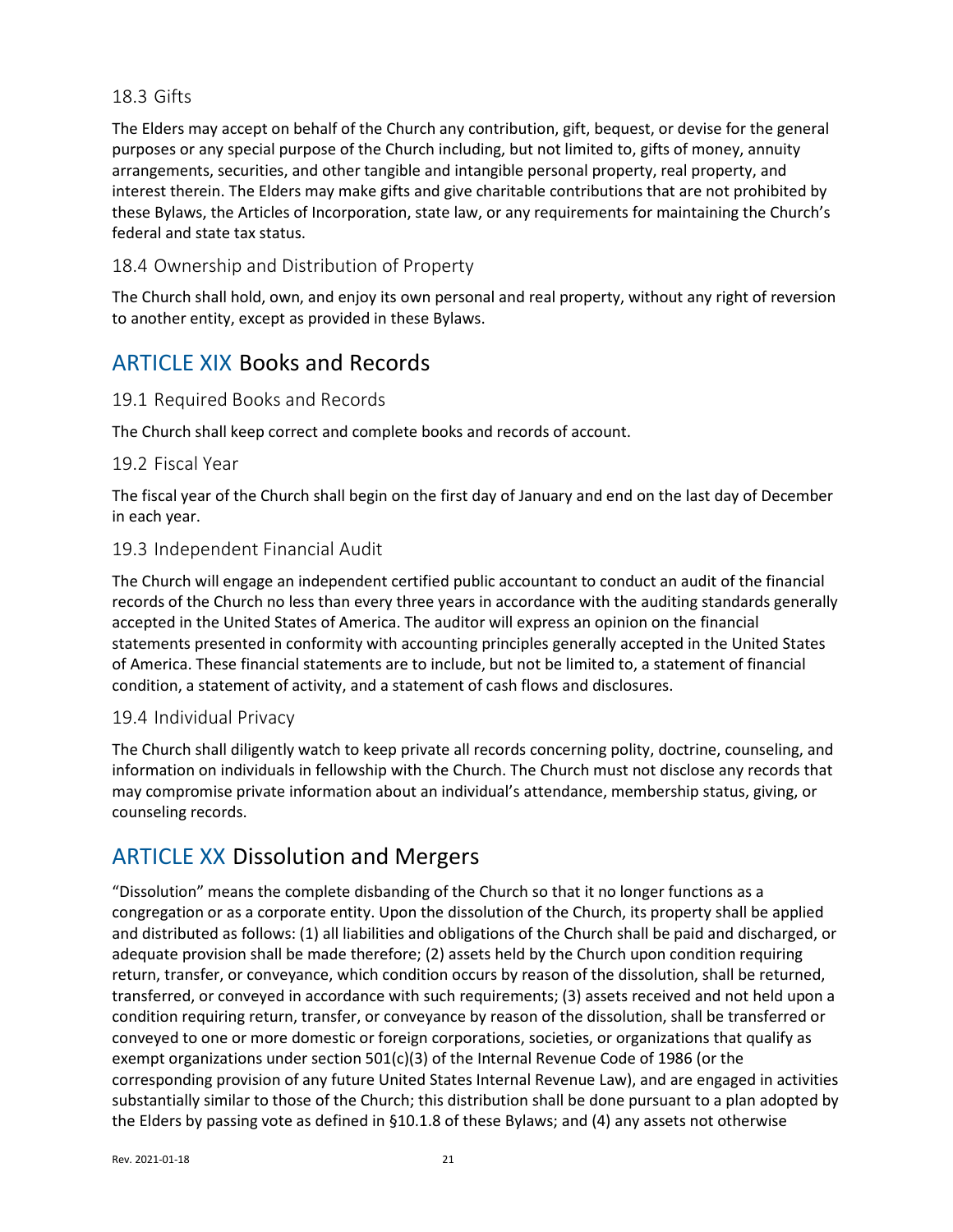### <span id="page-20-0"></span>18.3 Gifts

The Elders may accept on behalf of the Church any contribution, gift, bequest, or devise for the general purposes or any special purpose of the Church including, but not limited to, gifts of money, annuity arrangements, securities, and other tangible and intangible personal property, real property, and interest therein. The Elders may make gifts and give charitable contributions that are not prohibited by these Bylaws, the Articles of Incorporation, state law, or any requirements for maintaining the Church's federal and state tax status.

## <span id="page-20-1"></span>18.4 Ownership and Distribution of Property

The Church shall hold, own, and enjoy its own personal and real property, without any right of reversion to another entity, except as provided in these Bylaws.

## <span id="page-20-2"></span>ARTICLE XIX Books and Records

## <span id="page-20-3"></span>19.1 Required Books and Records

The Church shall keep correct and complete books and records of account.

#### <span id="page-20-4"></span>19.2 Fiscal Year

The fiscal year of the Church shall begin on the first day of January and end on the last day of December in each year.

#### <span id="page-20-5"></span>19.3 Independent Financial Audit

The Church will engage an independent certified public accountant to conduct an audit of the financial records of the Church no less than every three years in accordance with the auditing standards generally accepted in the United States of America. The auditor will express an opinion on the financial statements presented in conformity with accounting principles generally accepted in the United States of America. These financial statements are to include, but not be limited to, a statement of financial condition, a statement of activity, and a statement of cash flows and disclosures.

## <span id="page-20-6"></span>19.4 Individual Privacy

The Church shall diligently watch to keep private all records concerning polity, doctrine, counseling, and information on individuals in fellowship with the Church. The Church must not disclose any records that may compromise private information about an individual's attendance, membership status, giving, or counseling records.

# <span id="page-20-7"></span>ARTICLE XX Dissolution and Mergers

"Dissolution" means the complete disbanding of the Church so that it no longer functions as a congregation or as a corporate entity. Upon the dissolution of the Church, its property shall be applied and distributed as follows: (1) all liabilities and obligations of the Church shall be paid and discharged, or adequate provision shall be made therefore; (2) assets held by the Church upon condition requiring return, transfer, or conveyance, which condition occurs by reason of the dissolution, shall be returned, transferred, or conveyed in accordance with such requirements; (3) assets received and not held upon a condition requiring return, transfer, or conveyance by reason of the dissolution, shall be transferred or conveyed to one or more domestic or foreign corporations, societies, or organizations that qualify as exempt organizations under section  $501(c)(3)$  of the Internal Revenue Code of 1986 (or the corresponding provision of any future United States Internal Revenue Law), and are engaged in activities substantially similar to those of the Church; this distribution shall be done pursuant to a plan adopted by the Elders by passing vote as defined in [§10.1.8](#page-10-1) of these Bylaws; and (4) any assets not otherwise